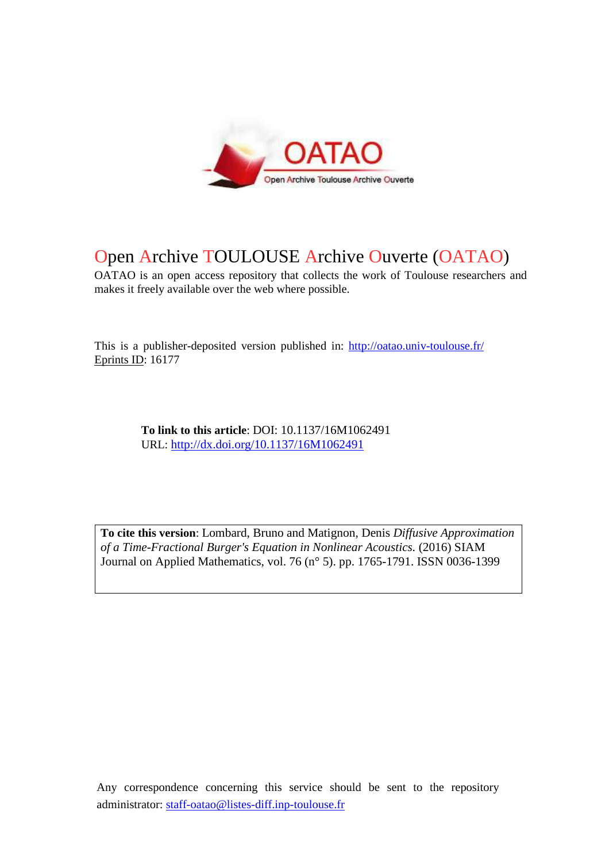

# Open Archive TOULOUSE Archive Ouverte (OATAO)

OATAO is an open access repository that collects the work of Toulouse researchers and makes it freely available over the web where possible.

This is a publisher-deposited version published in: http://oatao.univ-toulouse.fr/ Eprints ID: 16177

> **To link to this article**: DOI: 10.1137/16M1062491 URL: http://dx.doi.org/10.1137/16M1062491

**To cite this version**: Lombard, Bruno and Matignon, Denis *Diffusive Approximation of a Time-Fractional Burger's Equation in Nonlinear Acoustics.* (2016) SIAM Journal on Applied Mathematics, vol. 76 (n° 5). pp. 1765-1791. ISSN 0036-1399

Any correspondence concerning this service should be sent to the repository administrator: staff-oatao@listes-diff.inp-toulouse.fr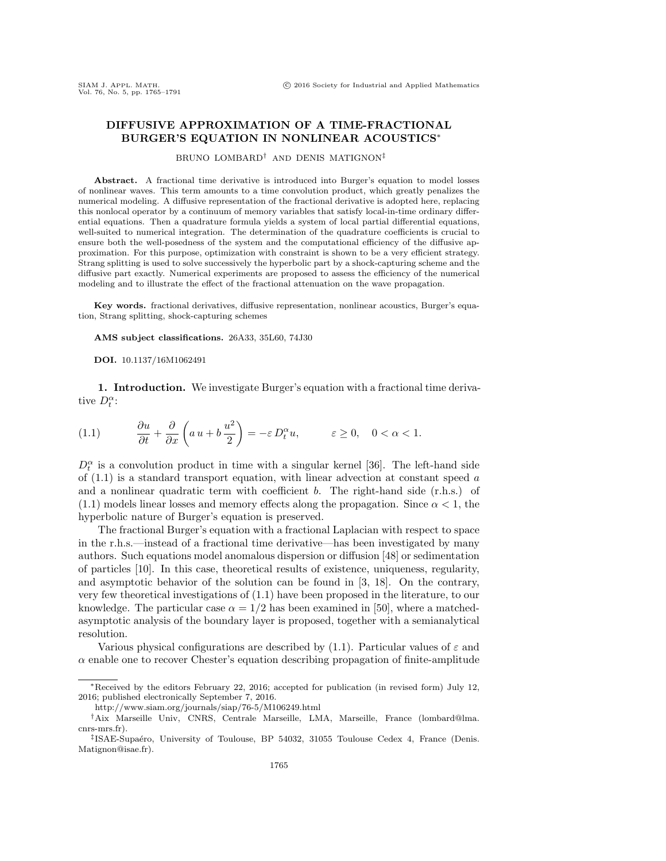# DIFFUSIVE APPROXIMATION OF A TIME-FRACTIONAL BURGER'S EQUATION IN NONLINEAR ACOUSTICS<sup>∗</sup>

BRUNO LOMBARD† AND DENIS MATIGNON‡

Abstract. A fractional time derivative is introduced into Burger's equation to model losses of nonlinear waves. This term amounts to a time convolution product, which greatly penalizes the numerical modeling. A diffusive representation of the fractional derivative is adopted here, replacing this nonlocal operator by a continuum of memory variables that satisfy local-in-time ordinary differential equations. Then a quadrature formula yields a system of local partial differential equations, well-suited to numerical integration. The determination of the quadrature coefficients is crucial to ensure both the well-posedness of the system and the computational efficiency of the diffusive approximation. For this purpose, optimization with constraint is shown to be a very efficient strategy. Strang splitting is used to solve successively the hyperbolic part by a shock-capturing scheme and the diffusive part exactly. Numerical experiments are proposed to assess the efficiency of the numerical modeling and to illustrate the effect of the fractional attenuation on the wave propagation.

Key words. fractional derivatives, diffusive representation, nonlinear acoustics, Burger's equation, Strang splitting, shock-capturing schemes

AMS subject classifications. 26A33, 35L60, 74J30

DOI. 10.1137/16M1062491

1. Introduction. We investigate Burger's equation with a fractional time derivative  $D_t^{\alpha}$ :

<span id="page-1-0"></span>(1.1) 
$$
\frac{\partial u}{\partial t} + \frac{\partial}{\partial x} \left( a u + b \frac{u^2}{2} \right) = -\varepsilon D_t^{\alpha} u, \qquad \varepsilon \ge 0, \quad 0 < \alpha < 1.
$$

 $D_t^{\alpha}$  is a convolution product in time with a singular kernel [\[36\]](#page-26-0). The left-hand side of  $(1.1)$  is a standard transport equation, with linear advection at constant speed  $a$ and a nonlinear quadratic term with coefficient  $b$ . The right-hand side  $(r.h.s.)$  of  $(1.1)$  models linear losses and memory effects along the propagation. Since  $\alpha < 1$ , the hyperbolic nature of Burger's equation is preserved.

The fractional Burger's equation with a fractional Laplacian with respect to space in the r.h.s.—instead of a fractional time derivative—has been investigated by many authors. Such equations model anomalous dispersion or diffusion [\[48\]](#page-26-1) or sedimentation of particles [\[10\]](#page-25-0). In this case, theoretical results of existence, uniqueness, regularity, and asymptotic behavior of the solution can be found in [\[3,](#page-25-1) [18\]](#page-25-2). On the contrary, very few theoretical investigations of [\(1.1\)](#page-1-0) have been proposed in the literature, to our knowledge. The particular case  $\alpha = 1/2$  has been examined in [\[50\]](#page-26-2), where a matchedasymptotic analysis of the boundary layer is proposed, together with a semianalytical resolution.

Various physical configurations are described by [\(1.1\)](#page-1-0). Particular values of  $\varepsilon$  and  $\alpha$  enable one to recover Chester's equation describing propagation of finite-amplitude

<sup>∗</sup>Received by the editors February 22, 2016; accepted for publication (in revised form) July 12, 2016; published electronically September 7, 2016.

<http://www.siam.org/journals/siap/76-5/M106249.html>

<sup>†</sup>Aix Marseille Univ, CNRS, Centrale Marseille, LMA, Marseille, France [\(lombard@lma.](mailto:lombard@lma.cnrs-mrs.fr) [cnrs-mrs.fr\)](mailto:lombard@lma.cnrs-mrs.fr).

<sup>‡</sup> ISAE-Supa´ero, University of Toulouse, BP 54032, 31055 Toulouse Cedex 4, France [\(Denis.](mailto:Denis.Matignon@isae.fr) [Matignon@isae.fr\)](mailto:Denis.Matignon@isae.fr).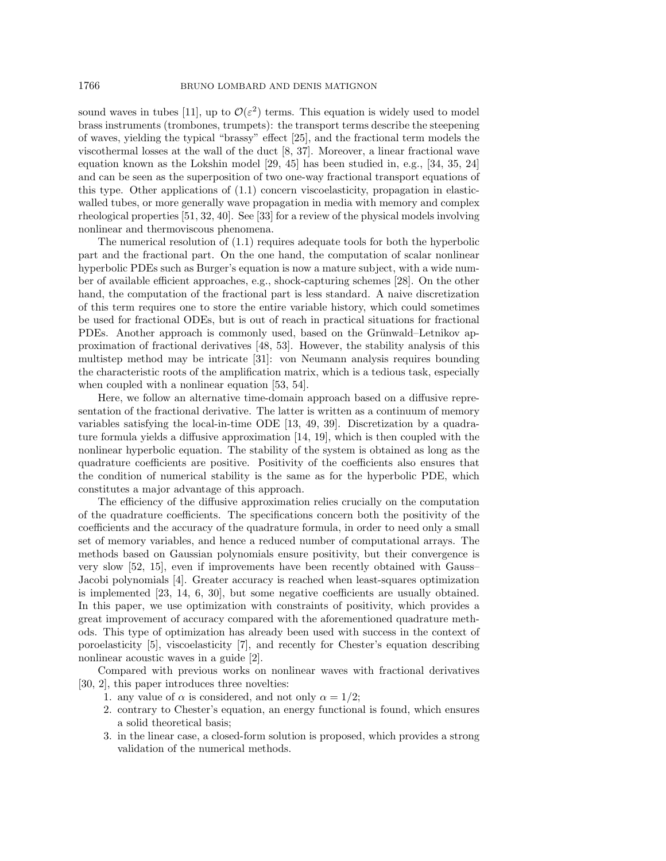sound waves in tubes [\[11\]](#page-25-3), up to  $\mathcal{O}(\varepsilon^2)$  terms. This equation is widely used to model brass instruments (trombones, trumpets): the transport terms describe the steepening of waves, yielding the typical "brassy" effect [\[25\]](#page-26-3), and the fractional term models the viscothermal losses at the wall of the duct [\[8,](#page-25-4) [37\]](#page-26-4). Moreover, a linear fractional wave equation known as the Lokshin model [\[29,](#page-26-5) [45\]](#page-26-6) has been studied in, e.g., [\[34,](#page-26-7) [35,](#page-26-8) [24\]](#page-26-9) and can be seen as the superposition of two one-way fractional transport equations of this type. Other applications of [\(1.1\)](#page-1-0) concern viscoelasticity, propagation in elasticwalled tubes, or more generally wave propagation in media with memory and complex rheological properties [\[51,](#page-26-10) [32,](#page-26-11) [40\]](#page-26-12). See [\[33\]](#page-26-13) for a review of the physical models involving nonlinear and thermoviscous phenomena.

The numerical resolution of [\(1.1\)](#page-1-0) requires adequate tools for both the hyperbolic part and the fractional part. On the one hand, the computation of scalar nonlinear hyperbolic PDEs such as Burger's equation is now a mature subject, with a wide number of available efficient approaches, e.g., shock-capturing schemes [\[28\]](#page-26-14). On the other hand, the computation of the fractional part is less standard. A naive discretization of this term requires one to store the entire variable history, which could sometimes be used for fractional ODEs, but is out of reach in practical situations for fractional PDEs. Another approach is commonly used, based on the Grünwald–Letnikov approximation of fractional derivatives [\[48,](#page-26-1) [53\]](#page-27-0). However, the stability analysis of this multistep method may be intricate [\[31\]](#page-26-15): von Neumann analysis requires bounding the characteristic roots of the amplification matrix, which is a tedious task, especially when coupled with a nonlinear equation [\[53,](#page-27-0) [54\]](#page-27-1).

Here, we follow an alternative time-domain approach based on a diffusive representation of the fractional derivative. The latter is written as a continuum of memory variables satisfying the local-in-time ODE [\[13,](#page-25-5) [49,](#page-26-16) [39\]](#page-26-17). Discretization by a quadrature formula yields a diffusive approximation [\[14,](#page-25-6) [19\]](#page-25-7), which is then coupled with the nonlinear hyperbolic equation. The stability of the system is obtained as long as the quadrature coefficients are positive. Positivity of the coefficients also ensures that the condition of numerical stability is the same as for the hyperbolic PDE, which constitutes a major advantage of this approach.

The efficiency of the diffusive approximation relies crucially on the computation of the quadrature coefficients. The specifications concern both the positivity of the coefficients and the accuracy of the quadrature formula, in order to need only a small set of memory variables, and hence a reduced number of computational arrays. The methods based on Gaussian polynomials ensure positivity, but their convergence is very slow [\[52,](#page-26-18) [15\]](#page-25-8), even if improvements have been recently obtained with Gauss– Jacobi polynomials [\[4\]](#page-25-9). Greater accuracy is reached when least-squares optimization is implemented [\[23,](#page-25-10) [14,](#page-25-6) [6,](#page-25-11) [30\]](#page-26-19), but some negative coefficients are usually obtained. In this paper, we use optimization with constraints of positivity, which provides a great improvement of accuracy compared with the aforementioned quadrature methods. This type of optimization has already been used with success in the context of poroelasticity [\[5\]](#page-25-12), viscoelasticity [\[7\]](#page-25-13), and recently for Chester's equation describing nonlinear acoustic waves in a guide [\[2\]](#page-25-14).

Compared with previous works on nonlinear waves with fractional derivatives [\[30,](#page-26-19) [2\]](#page-25-14), this paper introduces three novelties:

- 1. any value of  $\alpha$  is considered, and not only  $\alpha = 1/2$ ;
- 2. contrary to Chester's equation, an energy functional is found, which ensures a solid theoretical basis;
- 3. in the linear case, a closed-form solution is proposed, which provides a strong validation of the numerical methods.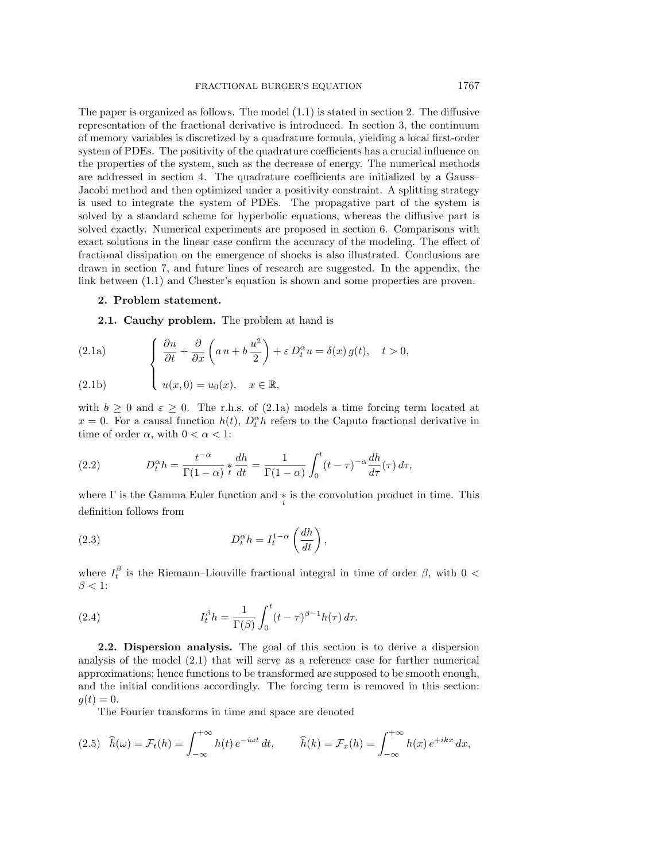The paper is organized as follows. The model  $(1.1)$  is stated in section [2.](#page-3-0) The diffusive representation of the fractional derivative is introduced. In section [3,](#page-6-0) the continuum of memory variables is discretized by a quadrature formula, yielding a local first-order system of PDEs. The positivity of the quadrature coefficients has a crucial influence on the properties of the system, such as the decrease of energy. The numerical methods are addressed in section [4.](#page-10-0) The quadrature coefficients are initialized by a Gauss– Jacobi method and then optimized under a positivity constraint. A splitting strategy is used to integrate the system of PDEs. The propagative part of the system is solved by a standard scheme for hyperbolic equations, whereas the diffusive part is solved exactly. Numerical experiments are proposed in section [6.](#page-15-0) Comparisons with exact solutions in the linear case confirm the accuracy of the modeling. The effect of fractional dissipation on the emergence of shocks is also illustrated. Conclusions are drawn in section [7,](#page-20-0) and future lines of research are suggested. In the appendix, the link between [\(1.1\)](#page-1-0) and Chester's equation is shown and some properties are proven.

#### <span id="page-3-0"></span>2. Problem statement.

<span id="page-3-2"></span>2.1. Cauchy problem. The problem at hand is

<span id="page-3-1"></span>(2.1a)  

$$
\begin{cases}\n\frac{\partial u}{\partial t} + \frac{\partial}{\partial x} \left( a u + b \frac{u^2}{2} \right) + \varepsilon D_t^{\alpha} u = \delta(x) g(t), \quad t > 0, \\
u(x, 0) = u_0(x), \quad x \in \mathbb{R},\n\end{cases}
$$

with  $b \geq 0$  and  $\varepsilon \geq 0$ . The r.h.s. of [\(2.1a\)](#page-3-1) models a time forcing term located at  $x = 0$ . For a causal function  $h(t)$ ,  $D_t^{\alpha} h$  refers to the Caputo fractional derivative in time of order  $\alpha$ , with  $0 < \alpha < 1$ :

<span id="page-3-3"></span>(2.2) 
$$
D_t^{\alpha} h = \frac{t^{-\alpha}}{\Gamma(1-\alpha)} * \frac{dh}{dt} = \frac{1}{\Gamma(1-\alpha)} \int_0^t (t-\tau)^{-\alpha} \frac{dh}{d\tau}(\tau) d\tau,
$$

where  $\Gamma$  is the Gamma Euler function and  $*$  is the convolution product in time. This definition follows from

<span id="page-3-7"></span>(2.3) 
$$
D_t^{\alpha} h = I_t^{1-\alpha} \left( \frac{dh}{dt} \right),
$$

where  $I_t^{\beta}$  is the Riemann–Liouville fractional integral in time of order  $\beta$ , with 0 <  $\beta < 1$ :

<span id="page-3-5"></span>(2.4) 
$$
I_t^{\beta} h = \frac{1}{\Gamma(\beta)} \int_0^t (t - \tau)^{\beta - 1} h(\tau) d\tau.
$$

<span id="page-3-6"></span>2.2. Dispersion analysis. The goal of this section is to derive a dispersion analysis of the model [\(2.1\)](#page-3-2) that will serve as a reference case for further numerical approximations; hence functions to be transformed are supposed to be smooth enough, and the initial conditions accordingly. The forcing term is removed in this section:  $g(t) = 0.$ 

<span id="page-3-4"></span>The Fourier transforms in time and space are denoted

$$
(2.5)\quad \widehat{h}(\omega) = \mathcal{F}_t(h) = \int_{-\infty}^{+\infty} h(t) \, e^{-i\omega t} \, dt, \qquad \widehat{h}(k) = \mathcal{F}_x(h) = \int_{-\infty}^{+\infty} h(x) \, e^{+ikx} \, dx,
$$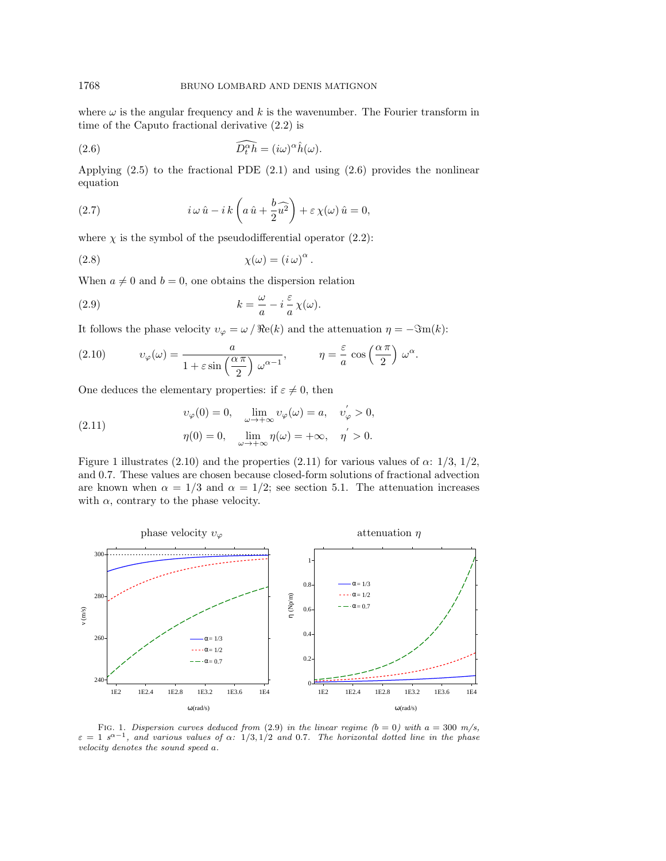where  $\omega$  is the angular frequency and k is the wavenumber. The Fourier transform in time of the Caputo fractional derivative [\(2.2\)](#page-3-3) is

<span id="page-4-0"></span>(2.6) 
$$
\widehat{D_t^{\alpha}h} = (i\omega)^{\alpha}\hat{h}(\omega).
$$

Applying  $(2.5)$  to the fractional PDE  $(2.1)$  and using  $(2.6)$  provides the nonlinear equation

<span id="page-4-5"></span>(2.7) 
$$
i \omega \hat{u} - i k \left( a \hat{u} + \frac{b}{2} \widehat{u^2} \right) + \varepsilon \chi(\omega) \hat{u} = 0,
$$

where  $\chi$  is the symbol of the pseudodifferential operator [\(2.2\)](#page-3-3):

<span id="page-4-6"></span>(2.8) 
$$
\chi(\omega) = (i \,\omega)^{\alpha}.
$$

When  $a \neq 0$  and  $b = 0$ , one obtains the dispersion relation

<span id="page-4-4"></span>(2.9) 
$$
k = \frac{\omega}{a} - i \frac{\varepsilon}{a} \chi(\omega).
$$

It follows the phase velocity  $v_{\varphi} = \omega / \Re(\kappa)$  and the attenuation  $\eta = -\Im(\kappa)$ :

<span id="page-4-2"></span>(2.10) 
$$
v_{\varphi}(\omega) = \frac{a}{1 + \varepsilon \sin\left(\frac{\alpha \pi}{2}\right) \omega^{\alpha - 1}}, \qquad \eta = \frac{\varepsilon}{a} \cos\left(\frac{\alpha \pi}{2}\right) \omega^{\alpha}.
$$

One deduces the elementary properties: if  $\varepsilon \neq 0$ , then

<span id="page-4-3"></span>(2.11) 
$$
v_{\varphi}(0) = 0, \quad \lim_{\omega \to +\infty} v_{\varphi}(\omega) = a, \quad v_{\varphi}^{'} > 0,
$$

$$
\eta(0) = 0, \quad \lim_{\omega \to +\infty} \eta(\omega) = +\infty, \quad \eta^{'} > 0.
$$

Figure [1](#page-4-1) illustrates [\(2.10\)](#page-4-2) and the properties [\(2.11\)](#page-4-3) for various values of  $\alpha$ : 1/3, 1/2, and 0.7. These values are chosen because closed-form solutions of fractional advection are known when  $\alpha = 1/3$  and  $\alpha = 1/2$ ; see section [5.1.](#page-14-0) The attenuation increases with  $\alpha$ , contrary to the phase velocity.

<span id="page-4-1"></span>

FIG. 1. Dispersion curves deduced from  $(2.9)$  in the linear regime  $(b = 0)$  with  $a = 300$  m/s,  $\varepsilon = 1$  s<sup> $\alpha-1$ </sup>, and various values of  $\alpha$ : 1/3, 1/2 and 0.7. The horizontal dotted line in the phase velocity denotes the sound speed a.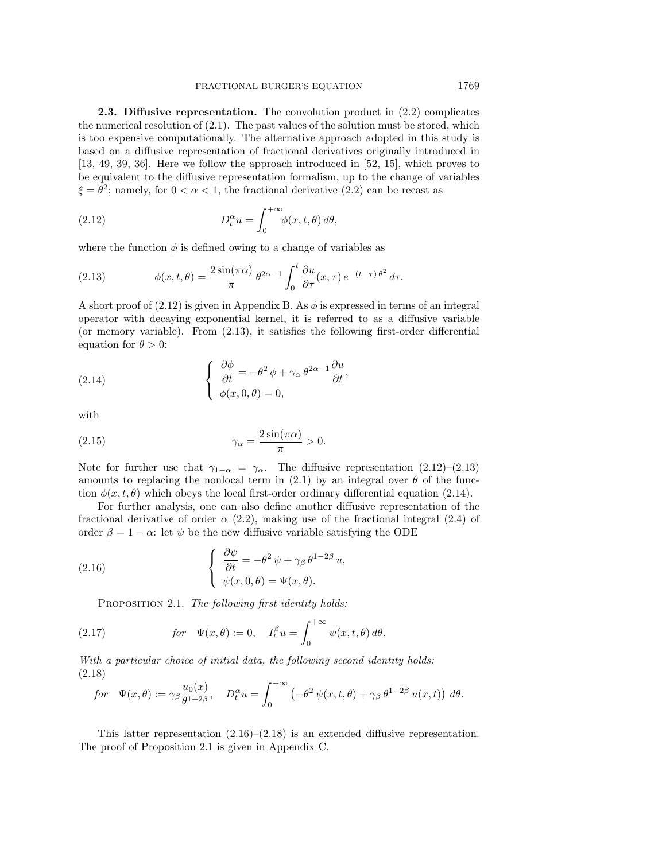2.3. Diffusive representation. The convolution product in  $(2.2)$  complicates the numerical resolution of  $(2.1)$ . The past values of the solution must be stored, which is too expensive computationally. The alternative approach adopted in this study is based on a diffusive representation of fractional derivatives originally introduced in [\[13,](#page-25-5) [49,](#page-26-16) [39,](#page-26-17) [36\]](#page-26-0). Here we follow the approach introduced in [\[52,](#page-26-18) [15\]](#page-25-8), which proves to be equivalent to the diffusive representation formalism, up to the change of variables  $\xi = \theta^2$ ; namely, for  $0 < \alpha < 1$ , the fractional derivative [\(2.2\)](#page-3-3) can be recast as

<span id="page-5-0"></span>(2.12) 
$$
D_t^{\alpha} u = \int_0^{+\infty} \phi(x, t, \theta) d\theta,
$$

where the function  $\phi$  is defined owing to a change of variables as

<span id="page-5-1"></span>(2.13) 
$$
\phi(x,t,\theta) = \frac{2\sin(\pi\alpha)}{\pi} \theta^{2\alpha-1} \int_0^t \frac{\partial u}{\partial \tau}(x,\tau) e^{-(t-\tau)\theta^2} d\tau.
$$

A short proof of  $(2.12)$  is given in Appendix [B.](#page-22-0) As  $\phi$  is expressed in terms of an integral operator with decaying exponential kernel, it is referred to as a diffusive variable (or memory variable). From [\(2.13\)](#page-5-1), it satisfies the following first-order differential equation for  $\theta > 0$ :

<span id="page-5-2"></span>(2.14) 
$$
\begin{cases} \frac{\partial \phi}{\partial t} = -\theta^2 \phi + \gamma_\alpha \theta^{2\alpha - 1} \frac{\partial u}{\partial t}, \\ \phi(x, 0, \theta) = 0, \end{cases}
$$

with

(2.15) 
$$
\gamma_{\alpha} = \frac{2\sin(\pi\alpha)}{\pi} > 0.
$$

Note for further use that  $\gamma_{1-\alpha} = \gamma_{\alpha}$ . The diffusive representation [\(2.12\)](#page-5-0)–[\(2.13\)](#page-5-1) amounts to replacing the nonlocal term in [\(2.1\)](#page-3-2) by an integral over  $\theta$  of the function  $\phi(x, t, \theta)$  which obeys the local first-order ordinary differential equation [\(2.14\)](#page-5-2).

For further analysis, one can also define another diffusive representation of the fractional derivative of order  $\alpha$  [\(2.2\)](#page-3-3), making use of the fractional integral [\(2.4\)](#page-3-5) of order  $\beta = 1 - \alpha$ : let  $\psi$  be the new diffusive variable satisfying the ODE

(2.16) 
$$
\begin{cases} \frac{\partial \psi}{\partial t} = -\theta^2 \psi + \gamma_\beta \theta^{1-2\beta} u, \\ \psi(x, 0, \theta) = \Psi(x, \theta). \end{cases}
$$

<span id="page-5-5"></span><span id="page-5-3"></span>PROPOSITION 2.1. The following first identity holds:

(2.17) 
$$
\qquad \text{for} \quad \Psi(x,\theta) := 0, \quad I_t^{\beta} u = \int_0^{+\infty} \psi(x,t,\theta) \, d\theta.
$$

With a particular choice of initial data, the following second identity holds: (2.18)

<span id="page-5-4"></span>
$$
for \quad \Psi(x,\theta) := \gamma_\beta \frac{u_0(x)}{\theta^{1+2\beta}}, \quad D_t^\alpha u = \int_0^{+\infty} \left(-\theta^2 \psi(x,t,\theta) + \gamma_\beta \theta^{1-2\beta} u(x,t)\right) d\theta.
$$

This latter representation  $(2.16)$ – $(2.18)$  is an extended diffusive representation. The proof of Proposition [2.1](#page-5-4) is given in Appendix [C.](#page-22-1)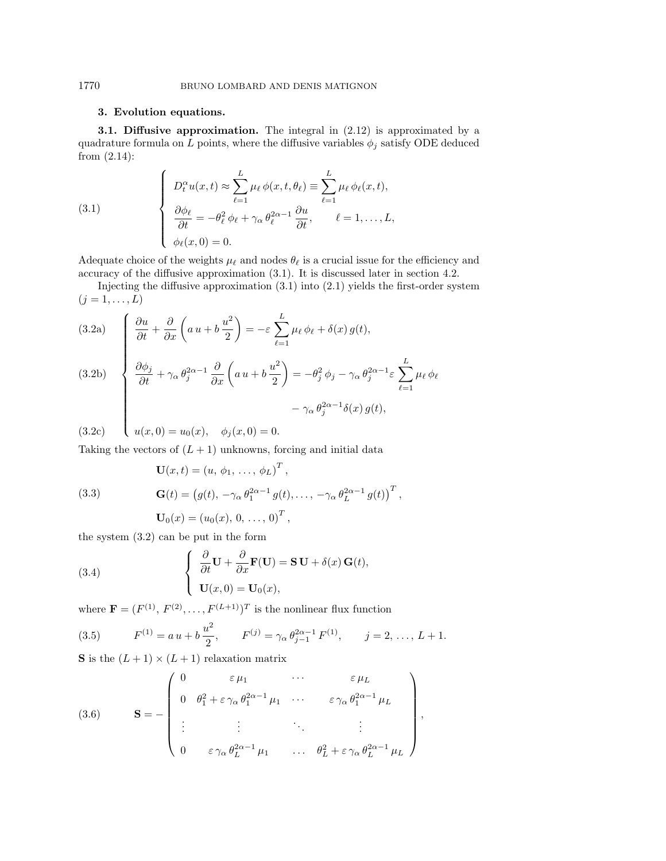# <span id="page-6-0"></span>3. Evolution equations.

**3.1. Diffusive approximation.** The integral in  $(2.12)$  is approximated by a quadrature formula on L points, where the diffusive variables  $\phi_j$  satisfy ODE deduced from [\(2.14\)](#page-5-2):

<span id="page-6-1"></span>(3.1) 
$$
\begin{cases} D_t^{\alpha}u(x,t) \approx \sum_{\ell=1}^L \mu_{\ell} \phi(x,t,\theta_{\ell}) \equiv \sum_{\ell=1}^L \mu_{\ell} \phi_{\ell}(x,t), \\ \frac{\partial \phi_{\ell}}{\partial t} = -\theta_{\ell}^2 \phi_{\ell} + \gamma_{\alpha} \theta_{\ell}^{2\alpha-1} \frac{\partial u}{\partial t}, \qquad \ell = 1,\ldots,L, \\ \phi_{\ell}(x,0) = 0. \end{cases}
$$

Adequate choice of the weights  $\mu_{\ell}$  and nodes  $\theta_{\ell}$  is a crucial issue for the efficiency and accuracy of the diffusive approximation [\(3.1\)](#page-6-1). It is discussed later in section [4.2.](#page-11-0)

Injecting the diffusive approximation  $(3.1)$  into  $(2.1)$  yields the first-order system  $(j = 1, \ldots, L)$ 

(3.2a)
$$
\begin{cases}\n\frac{\partial u}{\partial t} + \frac{\partial}{\partial x} \left( a u + b \frac{u^2}{2} \right) = -\varepsilon \sum_{\ell=1}^L \mu_\ell \, \phi_\ell + \delta(x) \, g(t), \\
\frac{\partial \phi_j}{\partial t} + \gamma \, \theta^{2\alpha - 1} \frac{\partial}{\partial x} \left( a u + b \frac{u^2}{2} \right) = -\theta^2 \, \phi \cdot -\gamma \, \theta^{2\alpha - 1}.\n\end{cases}
$$

<span id="page-6-4"></span>(3.2b)
$$
\begin{cases}\n\frac{\partial \phi_j}{\partial t} + \gamma_\alpha \theta_j^{2\alpha - 1} \frac{\partial}{\partial x} \left( a u + b \frac{u^2}{2} \right) = -\theta_j^2 \phi_j - \gamma_\alpha \theta_j^{2\alpha - 1} \varepsilon \sum_{\ell=1}^L \mu_\ell \phi_\ell \\
-\gamma_\alpha \theta_j^{2\alpha - 1} \delta(x) g(t),\n\end{cases}
$$
\n(3.2c)
$$
u(x, 0) = u_0(x), \quad \phi_j(x, 0) = 0.
$$

(3.2c) 
$$
u(x, 0) = u_0(x), \quad \phi_j(x, 0) = 0.
$$

Taking the vectors of  $(L + 1)$  unknowns, forcing and initial data

(3.3)  
\n
$$
\mathbf{U}(x,t) = (u, \phi_1, ..., \phi_L)^T,
$$
\n
$$
\mathbf{G}(t) = (g(t), -\gamma_\alpha \theta_1^{2\alpha - 1} g(t), ..., -\gamma_\alpha \theta_L^{2\alpha - 1} g(t))^T,
$$
\n
$$
\mathbf{U}_0(x) = (u_0(x), 0, ..., 0)^T,
$$

the system [\(3.2\)](#page-6-1) can be put in the form

<span id="page-6-2"></span>(3.4) 
$$
\begin{cases} \frac{\partial}{\partial t} \mathbf{U} + \frac{\partial}{\partial x} \mathbf{F}(\mathbf{U}) = \mathbf{S} \mathbf{U} + \delta(x) \mathbf{G}(t), \\ \mathbf{U}(x, 0) = \mathbf{U}_0(x), \end{cases}
$$

where  $\mathbf{F} = (F^{(1)}, F^{(2)}, \dots, F^{(L+1)})^T$  is the nonlinear flux function

(3.5) 
$$
F^{(1)} = a u + b \frac{u^2}{2}, \qquad F^{(j)} = \gamma_\alpha \theta_{j-1}^{2\alpha - 1} F^{(1)}, \qquad j = 2, ..., L + 1.
$$

**S** is the  $(L + 1) \times (L + 1)$  relaxation matrix

<span id="page-6-3"></span>(3.6) 
$$
\mathbf{S} = -\begin{pmatrix} 0 & \varepsilon \mu_1 & \cdots & \varepsilon \mu_L \\ 0 & \theta_1^2 + \varepsilon \gamma_\alpha \theta_1^{2\alpha - 1} \mu_1 & \cdots & \varepsilon \gamma_\alpha \theta_1^{2\alpha - 1} \mu_L \\ \vdots & \vdots & \ddots & \vdots \\ 0 & \varepsilon \gamma_\alpha \theta_L^{2\alpha - 1} \mu_1 & \cdots & \theta_L^2 + \varepsilon \gamma_\alpha \theta_L^{2\alpha - 1} \mu_L \end{pmatrix},
$$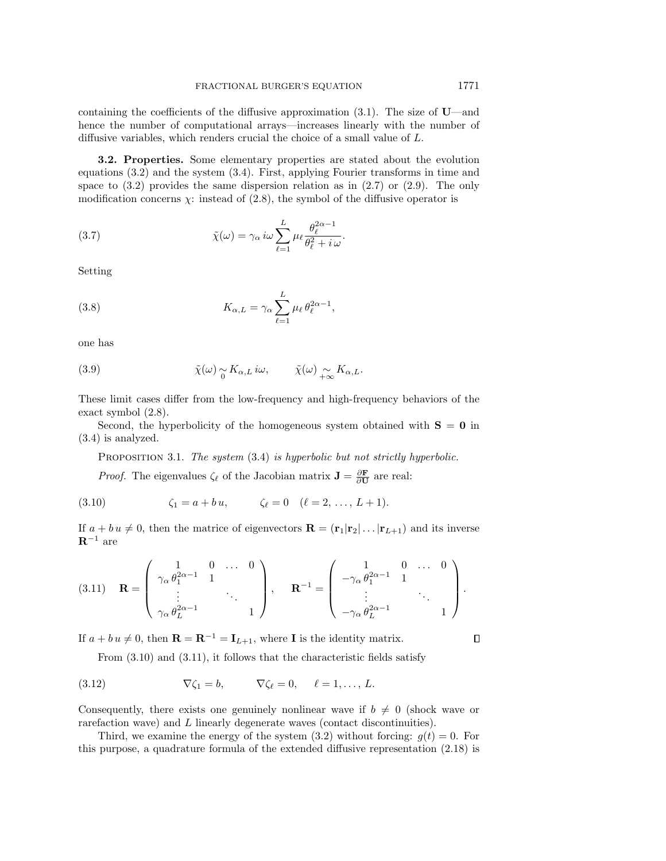containing the coefficients of the diffusive approximation  $(3.1)$ . The size of U—and hence the number of computational arrays—increases linearly with the number of diffusive variables, which renders crucial the choice of a small value of L.

<span id="page-7-2"></span>3.2. Properties. Some elementary properties are stated about the evolution equations [\(3.2\)](#page-6-1) and the system [\(3.4\)](#page-6-2). First, applying Fourier transforms in time and space to  $(3.2)$  provides the same dispersion relation as in  $(2.7)$  or  $(2.9)$ . The only modification concerns  $\chi$ : instead of [\(2.8\)](#page-4-6), the symbol of the diffusive operator is

<span id="page-7-3"></span>(3.7) 
$$
\tilde{\chi}(\omega) = \gamma_{\alpha} i\omega \sum_{\ell=1}^{L} \mu_{\ell} \frac{\theta_{\ell}^{2\alpha-1}}{\theta_{\ell}^{2} + i\omega}.
$$

Setting

(3.8) 
$$
K_{\alpha,L} = \gamma_{\alpha} \sum_{\ell=1}^{L} \mu_{\ell} \theta_{\ell}^{2\alpha-1},
$$

one has

<span id="page-7-4"></span>(3.9) 
$$
\tilde{\chi}(\omega) \underset{0}{\sim} K_{\alpha,L} i\omega, \qquad \tilde{\chi}(\omega) \underset{+\infty}{\sim} K_{\alpha,L}.
$$

These limit cases differ from the low-frequency and high-frequency behaviors of the exact symbol [\(2.8\)](#page-4-6).

Second, the hyperbolicity of the homogeneous system obtained with  $S = 0$  in [\(3.4\)](#page-6-2) is analyzed.

PROPOSITION 3.1. The system  $(3.4)$  is hyperbolic but not strictly hyperbolic.

<span id="page-7-0"></span>*Proof.* The eigenvalues  $\zeta_{\ell}$  of the Jacobian matrix  $\mathbf{J} = \frac{\partial \mathbf{F}}{\partial \mathbf{U}}$  are real:

(3.10) 
$$
\zeta_1 = a + b u, \qquad \zeta_{\ell} = 0 \quad (\ell = 2, ..., L + 1).
$$

If  $a + bu \neq 0$ , then the matrice of eigenvectors  $\mathbf{R} = (\mathbf{r}_1|\mathbf{r}_2|\dots|\mathbf{r}_{L+1})$  and its inverse  $\mathbf{R}^{-1}$  are

<span id="page-7-1"></span>(3.11) 
$$
\mathbf{R} = \begin{pmatrix} 1 & 0 & \cdots & 0 \\ \gamma_{\alpha} \theta_1^{2\alpha - 1} & 1 & \\ \vdots & & \ddots & \\ \gamma_{\alpha} \theta_L^{2\alpha - 1} & & & 1 \end{pmatrix}, \quad \mathbf{R}^{-1} = \begin{pmatrix} 1 & 0 & \cdots & 0 \\ -\gamma_{\alpha} \theta_1^{2\alpha - 1} & 1 & \\ \vdots & & \ddots & \\ -\gamma_{\alpha} \theta_L^{2\alpha - 1} & & & 1 \end{pmatrix}.
$$

If  $a + bu \neq 0$ , then  $\mathbf{R} = \mathbf{R}^{-1} = \mathbf{I}_{L+1}$ , where **I** is the identity matrix.

From [\(3.10\)](#page-7-0) and [\(3.11\)](#page-7-1), it follows that the characteristic fields satisfy

(3.12) 
$$
\nabla \zeta_1 = b, \qquad \nabla \zeta_\ell = 0, \quad \ell = 1, \ldots, L.
$$

Consequently, there exists one genuinely nonlinear wave if  $b \neq 0$  (shock wave or rarefaction wave) and L linearly degenerate waves (contact discontinuities).

Third, we examine the energy of the system  $(3.2)$  without forcing:  $g(t) = 0$ . For this purpose, a quadrature formula of the extended diffusive representation [\(2.18\)](#page-5-4) is

 $\Box$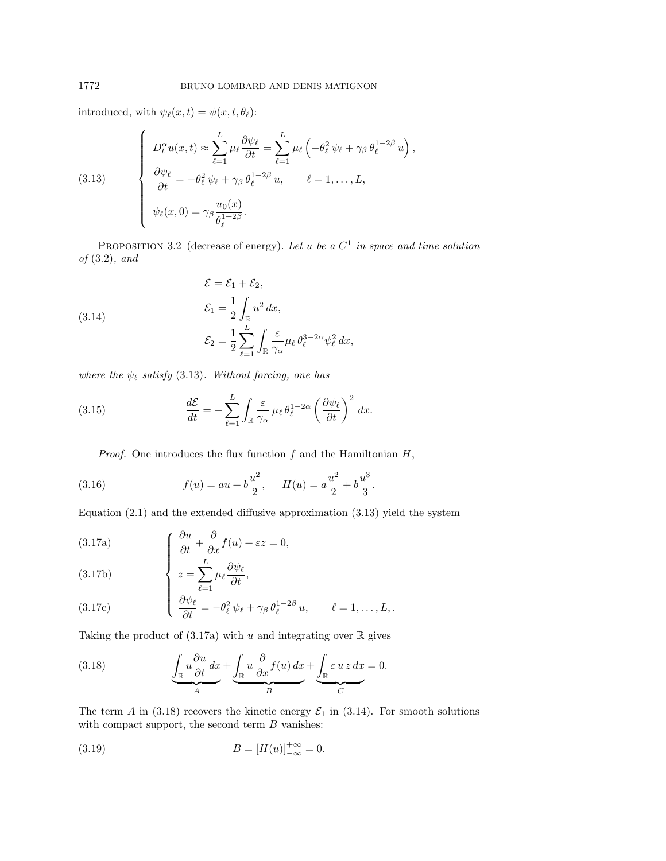introduced, with  $\psi_{\ell}(x, t) = \psi(x, t, \theta_{\ell})$ :

<span id="page-8-0"></span>(3.13) 
$$
\begin{cases}\nD_t^{\alpha} u(x,t) \approx \sum_{\ell=1}^L \mu_{\ell} \frac{\partial \psi_{\ell}}{\partial t} = \sum_{\ell=1}^L \mu_{\ell} \left( -\theta_{\ell}^2 \psi_{\ell} + \gamma_{\beta} \theta_{\ell}^{1-2\beta} u \right), \\
\frac{\partial \psi_{\ell}}{\partial t} = -\theta_{\ell}^2 \psi_{\ell} + \gamma_{\beta} \theta_{\ell}^{1-2\beta} u, \qquad \ell = 1, ..., L, \\
\psi_{\ell}(x,0) = \gamma_{\beta} \frac{u_0(x)}{\theta_{\ell}^{1+2\beta}}.\n\end{cases}
$$

PROPOSITION 3.2 (decrease of energy). Let u be a  $C^1$  in space and time solution of [\(3.2\)](#page-6-1), and

<span id="page-8-3"></span>(3.14)  
\n
$$
\mathcal{E} = \mathcal{E}_1 + \mathcal{E}_2,
$$
\n
$$
\mathcal{E}_1 = \frac{1}{2} \int_{\mathbb{R}} u^2 dx,
$$
\n
$$
\mathcal{E}_2 = \frac{1}{2} \sum_{\ell=1}^{L} \int_{\mathbb{R}} \frac{\varepsilon}{\gamma_\alpha} \mu_\ell \theta_\ell^{3-2\alpha} \psi_\ell^2 dx,
$$

where the  $\psi_{\ell}$  satisfy [\(3.13\)](#page-8-0). Without forcing, one has

(3.15) 
$$
\frac{d\mathcal{E}}{dt} = -\sum_{\ell=1}^{L} \int_{\mathbb{R}} \frac{\varepsilon}{\gamma_{\alpha}} \mu_{\ell} \theta_{\ell}^{1-2\alpha} \left(\frac{\partial \psi_{\ell}}{\partial t}\right)^2 dx.
$$

<span id="page-8-4"></span>*Proof.* One introduces the flux function  $f$  and the Hamiltonian  $H$ ,

(3.16) 
$$
f(u) = au + b\frac{u^2}{2}, \quad H(u) = a\frac{u^2}{2} + b\frac{u^3}{3}.
$$

Equation  $(2.1)$  and the extended diffusive approximation  $(3.13)$  yield the system

(3.17a)
$$
\begin{cases}\n\frac{\partial u}{\partial t} + \frac{\partial}{\partial x} f(u) + \varepsilon z = 0, \\
\frac{L}{\gamma - \sum_{u \in \mathcal{U}} \frac{\partial \psi_{\ell}}{\partial x}}\n\end{cases}
$$

<span id="page-8-1"></span>(3.17b) 
$$
\left\{\n \begin{array}{c}\n z = \sum_{\ell=1}^{L} \mu_{\ell} \frac{\partial \psi_{\ell}}{\partial t},\n \end{array}\n\right.
$$

(3.17c) 
$$
\frac{\partial \psi_{\ell}}{\partial t} = -\theta_{\ell}^2 \psi_{\ell} + \gamma_{\beta} \theta_{\ell}^{1-2\beta} u, \qquad \ell = 1, \ldots, L,
$$

Taking the product of  $(3.17a)$  with u and integrating over  $\mathbb R$  gives

<span id="page-8-2"></span>(3.18) 
$$
\underbrace{\int_{\mathbb{R}} u \frac{\partial u}{\partial t} dx}_{A} + \underbrace{\int_{\mathbb{R}} u \frac{\partial}{\partial x} f(u) dx}_{B} + \underbrace{\int_{\mathbb{R}} \varepsilon u z dx}_{C} = 0.
$$

The term A in [\(3.18\)](#page-8-2) recovers the kinetic energy  $\mathcal{E}_1$  in [\(3.14\)](#page-8-3). For smooth solutions with compact support, the second term  $B$  vanishes:

<span id="page-8-5"></span>(3.19) 
$$
B = [H(u)]_{-\infty}^{+\infty} = 0.
$$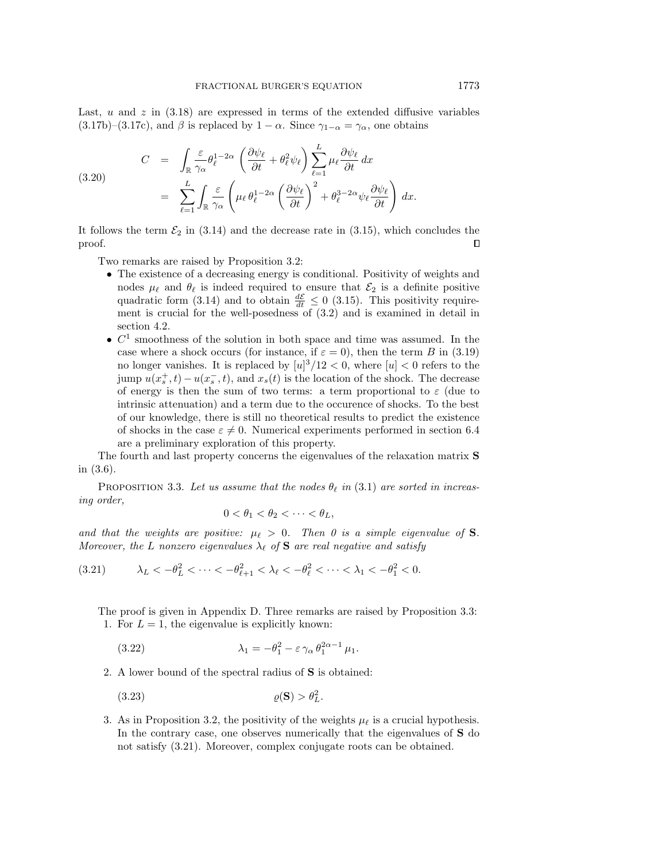Last,  $u$  and  $z$  in [\(3.18\)](#page-8-2) are expressed in terms of the extended diffusive variables [\(3.17b\)](#page-8-1)–[\(3.17c\)](#page-8-1), and  $\beta$  is replaced by  $1 - \alpha$ . Since  $\gamma_{1-\alpha} = \gamma_{\alpha}$ , one obtains

$$
\begin{array}{rcl}\nC & = & \displaystyle\int_{\mathbb{R}} \frac{\varepsilon}{\gamma_{\alpha}} \theta_{\ell}^{1-2\alpha} \left( \frac{\partial \psi_{\ell}}{\partial t} + \theta_{\ell}^{2} \psi_{\ell} \right) \sum_{\ell=1}^{L} \mu_{\ell} \frac{\partial \psi_{\ell}}{\partial t} \, dx \\
& = & \displaystyle\sum_{\ell=1}^{L} \int_{\mathbb{R}} \frac{\varepsilon}{\gamma_{\alpha}} \left( \mu_{\ell} \, \theta_{\ell}^{1-2\alpha} \left( \frac{\partial \psi_{\ell}}{\partial t} \right)^{2} + \theta_{\ell}^{3-2\alpha} \psi_{\ell} \frac{\partial \psi_{\ell}}{\partial t} \right) \, dx.\n\end{array}
$$

(3.20)

It follows the term  $\mathcal{E}_2$  in [\(3.14\)](#page-8-3) and the decrease rate in [\(3.15\)](#page-8-4), which concludes the proof. П

Two remarks are raised by Proposition [3.2:](#page-8-4)

- The existence of a decreasing energy is conditional. Positivity of weights and nodes  $\mu_{\ell}$  and  $\theta_{\ell}$  is indeed required to ensure that  $\mathcal{E}_2$  is a definite positive quadratic form [\(3.14\)](#page-8-3) and to obtain  $\frac{d\mathcal{E}}{dt} \leq 0$  [\(3.15\)](#page-8-4). This positivity requirement is crucial for the well-posedness of [\(3.2\)](#page-6-1) and is examined in detail in section [4.2.](#page-11-0)
- $\bullet$   $C^1$  smoothness of the solution in both space and time was assumed. In the case where a shock occurs (for instance, if  $\varepsilon = 0$ ), then the term B in [\(3.19\)](#page-8-5) no longer vanishes. It is replaced by  $[u]^3/12 < 0$ , where  $[u] < 0$  refers to the jump  $u(x_s^+, t) - u(x_s^-, t)$ , and  $x_s(t)$  is the location of the shock. The decrease of energy is then the sum of two terms: a term proportional to  $\varepsilon$  (due to intrinsic attenuation) and a term due to the occurence of shocks. To the best of our knowledge, there is still no theoretical results to predict the existence of shocks in the case  $\varepsilon \neq 0$ . Numerical experiments performed in section [6.4](#page-17-0) are a preliminary exploration of this property.

The fourth and last property concerns the eigenvalues of the relaxation matrix S in [\(3.6\)](#page-6-3).

**PROPOSITION** 3.3. Let us assume that the nodes  $\theta_{\ell}$  in [\(3.1\)](#page-6-1) are sorted in increasing order,

$$
0 < \theta_1 < \theta_2 < \cdots < \theta_L
$$

and that the weights are positive:  $\mu_{\ell} > 0$ . Then 0 is a simple eigenvalue of S. Moreover, the L nonzero eigenvalues  $\lambda_{\ell}$  of S are real negative and satisfy

<span id="page-9-0"></span>
$$
(3.21) \qquad \lambda_L < -\theta_L^2 < \dots < -\theta_{\ell+1}^2 < \lambda_{\ell} < -\theta_{\ell}^2 < \dots < \lambda_1 < -\theta_1^2 < 0.
$$

The proof is given in Appendix [D.](#page-23-0) Three remarks are raised by Proposition [3.3:](#page-9-0) 1. For  $L = 1$ , the eigenvalue is explicitly known:

(3.22) 
$$
\lambda_1 = -\theta_1^2 - \varepsilon \gamma_\alpha \theta_1^{2\alpha - 1} \mu_1.
$$

2. A lower bound of the spectral radius of S is obtained:

<span id="page-9-1"></span>
$$
(3.23)\t\t\t\t\t\t\varrho(\mathbf{S}) > \theta_L^2.
$$

3. As in Proposition [3.2,](#page-8-4) the positivity of the weights  $\mu_{\ell}$  is a crucial hypothesis. In the contrary case, one observes numerically that the eigenvalues of S do not satisfy [\(3.21\)](#page-9-0). Moreover, complex conjugate roots can be obtained.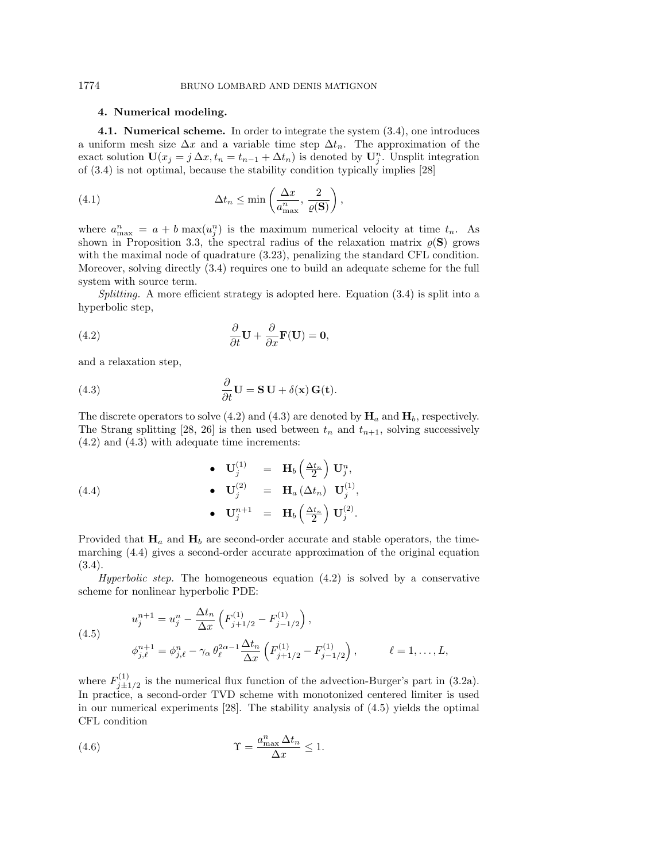### <span id="page-10-0"></span>4. Numerical modeling.

<span id="page-10-6"></span>4.1. Numerical scheme. In order to integrate the system [\(3.4\)](#page-6-2), one introduces a uniform mesh size  $\Delta x$  and a variable time step  $\Delta t_n$ . The approximation of the exact solution  $\mathbf{U}(x_j = j \Delta x, t_n = t_{n-1} + \Delta t_n)$  is denoted by  $\mathbf{U}_j^n$ . Unsplit integration of [\(3.4\)](#page-6-2) is not optimal, because the stability condition typically implies [\[28\]](#page-26-14)

(4.1) 
$$
\Delta t_n \leq \min\left(\frac{\Delta x}{a_{\max}^n}, \frac{2}{\varrho(\mathbf{S})}\right),
$$

where  $a_{\text{max}}^n = a + b \max(u_j^n)$  is the maximum numerical velocity at time  $t_n$ . As shown in Proposition [3.3,](#page-9-0) the spectral radius of the relaxation matrix  $\rho(S)$  grows with the maximal node of quadrature [\(3.23\)](#page-9-1), penalizing the standard CFL condition. Moreover, solving directly [\(3.4\)](#page-6-2) requires one to build an adequate scheme for the full system with source term.

Splitting. A more efficient strategy is adopted here. Equation  $(3.4)$  is split into a hyperbolic step,

<span id="page-10-1"></span>(4.2) 
$$
\frac{\partial}{\partial t} \mathbf{U} + \frac{\partial}{\partial x} \mathbf{F}(\mathbf{U}) = \mathbf{0},
$$

and a relaxation step,

<span id="page-10-2"></span>(4.3) 
$$
\frac{\partial}{\partial t} \mathbf{U} = \mathbf{S} \mathbf{U} + \delta(\mathbf{x}) \mathbf{G}(\mathbf{t}).
$$

The discrete operators to solve [\(4.2\)](#page-10-1) and [\(4.3\)](#page-10-2) are denoted by  $H_a$  and  $H_b$ , respectively. The Strang splitting [\[28,](#page-26-14) [26\]](#page-26-20) is then used between  $t_n$  and  $t_{n+1}$ , solving successively [\(4.2\)](#page-10-1) and [\(4.3\)](#page-10-2) with adequate time increments:

<span id="page-10-3"></span>(4.4)  
\n• 
$$
\mathbf{U}_{j}^{(1)} = \mathbf{H}_{b} \left( \frac{\Delta t_{n}}{2} \right) \mathbf{U}_{j}^{n},
$$
  
\n•  $\mathbf{U}_{j}^{(2)} = \mathbf{H}_{a} \left( \Delta t_{n} \right) \mathbf{U}_{j}^{(1)},$   
\n•  $\mathbf{U}_{j}^{n+1} = \mathbf{H}_{b} \left( \frac{\Delta t_{n}}{2} \right) \mathbf{U}_{j}^{(2)}.$ 

Provided that  $H_a$  and  $H_b$  are second-order accurate and stable operators, the timemarching [\(4.4\)](#page-10-3) gives a second-order accurate approximation of the original equation [\(3.4\)](#page-6-2).

*Hyperbolic step.* The homogeneous equation  $(4.2)$  is solved by a conservative scheme for nonlinear hyperbolic PDE:

<span id="page-10-4"></span>(4.5)  
\n
$$
u_j^{n+1} = u_j^n - \frac{\Delta t_n}{\Delta x} \left( F_{j+1/2}^{(1)} - F_{j-1/2}^{(1)} \right),
$$
\n
$$
\phi_{j,\ell}^{n+1} = \phi_{j,\ell}^n - \gamma_\alpha \theta_\ell^{2\alpha - 1} \frac{\Delta t_n}{\Delta x} \left( F_{j+1/2}^{(1)} - F_{j-1/2}^{(1)} \right), \qquad \ell = 1, \dots, L,
$$

where  $F_{i+1}^{(1)}$  $j_{j\pm1/2}^{(1)}$  is the numerical flux function of the advection-Burger's part in [\(3.2a\)](#page-6-4). In practice, a second-order TVD scheme with monotonized centered limiter is used in our numerical experiments [\[28\]](#page-26-14). The stability analysis of [\(4.5\)](#page-10-4) yields the optimal CFL condition

<span id="page-10-5"></span>(4.6) 
$$
\Upsilon = \frac{a_{\text{max}}^n \Delta t_n}{\Delta x} \le 1.
$$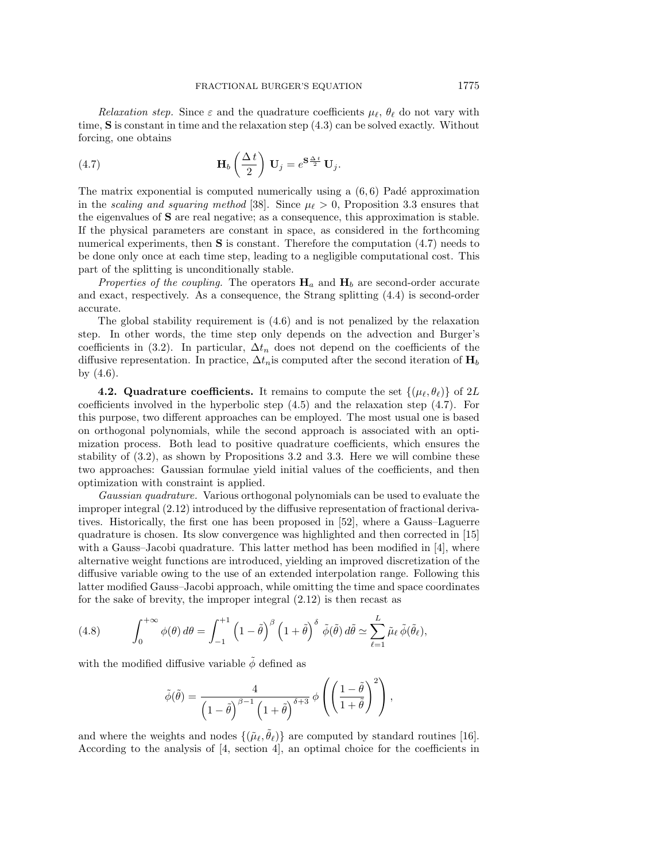Relaxation step. Since  $\varepsilon$  and the quadrature coefficients  $\mu_{\ell}$ ,  $\theta_{\ell}$  do not vary with time, S is constant in time and the relaxation step [\(4.3\)](#page-10-2) can be solved exactly. Without forcing, one obtains

<span id="page-11-1"></span>(4.7) 
$$
\mathbf{H}_b\left(\frac{\Delta t}{2}\right)\mathbf{U}_j = e^{\mathbf{S}\frac{\Delta t}{2}}\mathbf{U}_j.
$$

The matrix exponential is computed numerically using a  $(6, 6)$  Padé approximation in the scaling and squaring method [\[38\]](#page-26-21). Since  $\mu_{\ell} > 0$ , Proposition [3.3](#page-9-0) ensures that the eigenvalues of S are real negative; as a consequence, this approximation is stable. If the physical parameters are constant in space, as considered in the forthcoming numerical experiments, then S is constant. Therefore the computation [\(4.7\)](#page-11-1) needs to be done only once at each time step, leading to a negligible computational cost. This part of the splitting is unconditionally stable.

Properties of the coupling. The operators  $H_a$  and  $H_b$  are second-order accurate and exact, respectively. As a consequence, the Strang splitting [\(4.4\)](#page-10-3) is second-order accurate.

The global stability requirement is [\(4.6\)](#page-10-5) and is not penalized by the relaxation step. In other words, the time step only depends on the advection and Burger's coefficients in [\(3.2\)](#page-6-1). In particular,  $\Delta t_n$  does not depend on the coefficients of the diffusive representation. In practice,  $\Delta t_n$  is computed after the second iteration of  $H_b$ by [\(4.6\)](#page-10-5).

<span id="page-11-0"></span>**4.2. Quadrature coefficients.** It remains to compute the set  $\{(\mu_{\ell}, \theta_{\ell})\}$  of 2L coefficients involved in the hyperbolic step  $(4.5)$  and the relaxation step  $(4.7)$ . For this purpose, two different approaches can be employed. The most usual one is based on orthogonal polynomials, while the second approach is associated with an optimization process. Both lead to positive quadrature coefficients, which ensures the stability of [\(3.2\)](#page-6-1), as shown by Propositions [3.2](#page-8-4) and [3.3.](#page-9-0) Here we will combine these two approaches: Gaussian formulae yield initial values of the coefficients, and then optimization with constraint is applied.

Gaussian quadrature. Various orthogonal polynomials can be used to evaluate the improper integral [\(2.12\)](#page-5-0) introduced by the diffusive representation of fractional derivatives. Historically, the first one has been proposed in [\[52\]](#page-26-18), where a Gauss–Laguerre quadrature is chosen. Its slow convergence was highlighted and then corrected in [\[15\]](#page-25-8) with a Gauss–Jacobi quadrature. This latter method has been modified in  $[4]$ , where alternative weight functions are introduced, yielding an improved discretization of the diffusive variable owing to the use of an extended interpolation range. Following this latter modified Gauss–Jacobi approach, while omitting the time and space coordinates for the sake of brevity, the improper integral [\(2.12\)](#page-5-0) is then recast as

<span id="page-11-2"></span>(4.8) 
$$
\int_0^{+\infty} \phi(\theta) d\theta = \int_{-1}^{+1} \left(1 - \tilde{\theta}\right)^{\beta} \left(1 + \tilde{\theta}\right)^{\delta} \tilde{\phi}(\tilde{\theta}) d\tilde{\theta} \simeq \sum_{\ell=1}^L \tilde{\mu}_{\ell} \tilde{\phi}(\tilde{\theta}_{\ell}),
$$

with the modified diffusive variable  $\tilde{\phi}$  defined as

$$
\tilde{\phi}(\tilde{\theta}) = \frac{4}{\left(1 - \tilde{\theta}\right)^{\beta - 1} \left(1 + \tilde{\theta}\right)^{\delta + 3}} \phi \left(\left(\frac{1 - \tilde{\theta}}{1 + \tilde{\theta}}\right)^2\right),
$$

and where the weights and nodes  $\{(\tilde{\mu}_{\ell}, \tilde{\theta}_{\ell})\}$  are computed by standard routines [\[16\]](#page-25-15). According to the analysis of [\[4,](#page-25-9) section 4], an optimal choice for the coefficients in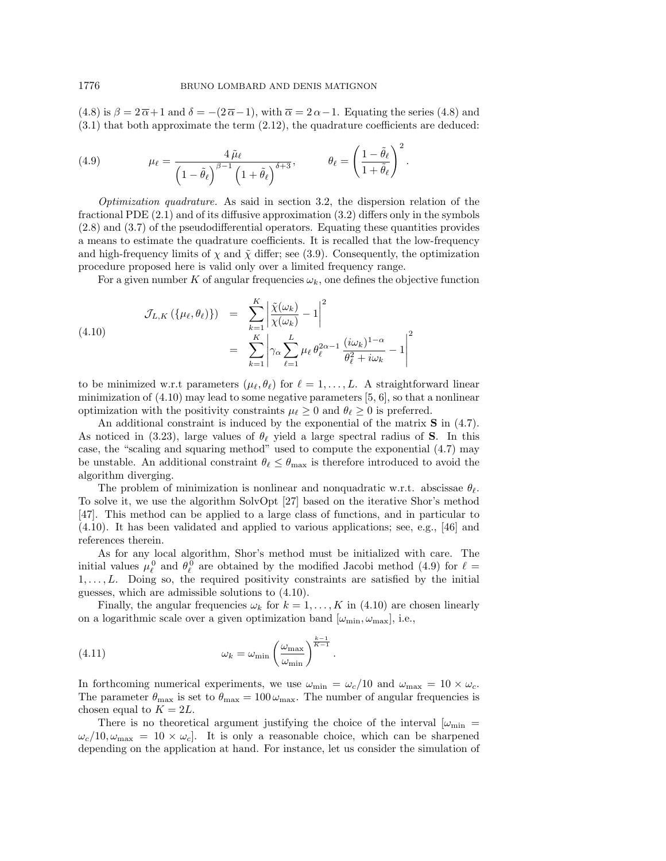$(4.8)$  is  $\beta = 2\overline{\alpha} + 1$  and  $\delta = -(2\overline{\alpha}-1)$ , with  $\overline{\alpha} = 2\alpha - 1$ . Equating the series [\(4.8\)](#page-11-2) and [\(3.1\)](#page-6-1) that both approximate the term [\(2.12\)](#page-5-0), the quadrature coefficients are deduced:

<span id="page-12-1"></span>(4.9) 
$$
\mu_{\ell} = \frac{4 \tilde{\mu}_{\ell}}{\left(1 - \tilde{\theta}_{\ell}\right)^{\beta - 1} \left(1 + \tilde{\theta}_{\ell}\right)^{\delta + 3}}, \qquad \theta_{\ell} = \left(\frac{1 - \tilde{\theta}_{\ell}}{1 + \tilde{\theta}_{\ell}}\right)^{2}.
$$

Optimization quadrature. As said in section [3.2,](#page-7-2) the dispersion relation of the fractional PDE [\(2.1\)](#page-3-2) and of its diffusive approximation [\(3.2\)](#page-6-1) differs only in the symbols [\(2.8\)](#page-4-6) and [\(3.7\)](#page-7-3) of the pseudodifferential operators. Equating these quantities provides a means to estimate the quadrature coefficients. It is recalled that the low-frequency and high-frequency limits of  $\chi$  and  $\tilde{\chi}$  differ; see [\(3.9\)](#page-7-4). Consequently, the optimization procedure proposed here is valid only over a limited frequency range.

For a given number K of angular frequencies  $\omega_k$ , one defines the objective function

<span id="page-12-0"></span>(4.10) 
$$
\mathcal{J}_{L,K}(\{\mu_{\ell}, \theta_{\ell})\}) = \sum_{k=1}^{K} \left| \frac{\tilde{\chi}(\omega_k)}{\chi(\omega_k)} - 1 \right|^2
$$

$$
= \sum_{k=1}^{K} \left| \gamma_{\alpha} \sum_{\ell=1}^{L} \mu_{\ell} \theta_{\ell}^{2\alpha - 1} \frac{(i\omega_k)^{1-\alpha}}{\theta_{\ell}^2 + i\omega_k} - 1 \right|^2
$$

to be minimized w.r.t parameters  $(\mu_{\ell}, \theta_{\ell})$  for  $\ell = 1, \ldots, L$ . A straightforward linear minimization of  $(4.10)$  may lead to some negative parameters  $[5, 6]$  $[5, 6]$ , so that a nonlinear optimization with the positivity constraints  $\mu_{\ell} \geq 0$  and  $\theta_{\ell} \geq 0$  is preferred.

An additional constraint is induced by the exponential of the matrix  $S$  in [\(4.7\)](#page-11-1). As noticed in [\(3.23\)](#page-9-1), large values of  $\theta_{\ell}$  yield a large spectral radius of S. In this case, the "scaling and squaring method" used to compute the exponential [\(4.7\)](#page-11-1) may be unstable. An additional constraint  $\theta_\ell \leq \theta_{\text{max}}$  is therefore introduced to avoid the algorithm diverging.

The problem of minimization is nonlinear and nonquadratic w.r.t. abscissae  $\theta_{\ell}$ . To solve it, we use the algorithm SolvOpt [\[27\]](#page-26-22) based on the iterative Shor's method [\[47\]](#page-26-23). This method can be applied to a large class of functions, and in particular to [\(4.10\)](#page-12-0). It has been validated and applied to various applications; see, e.g., [\[46\]](#page-26-24) and references therein.

As for any local algorithm, Shor's method must be initialized with care. The initial values  $\mu_{\ell}^0$  and  $\theta_{\ell}^0$  are obtained by the modified Jacobi method [\(4.9\)](#page-12-1) for  $\ell =$  $1, \ldots, L$ . Doing so, the required positivity constraints are satisfied by the initial guesses, which are admissible solutions to [\(4.10\)](#page-12-0).

Finally, the angular frequencies  $\omega_k$  for  $k = 1, ..., K$  in [\(4.10\)](#page-12-0) are chosen linearly on a logarithmic scale over a given optimization band  $[\omega_{\min}, \omega_{\max}]$ , i.e.,

(4.11) 
$$
\omega_k = \omega_{\min} \left( \frac{\omega_{\max}}{\omega_{\min}} \right)^{\frac{k-1}{K-1}}.
$$

In forthcoming numerical experiments, we use  $\omega_{\rm min} = \omega_c/10$  and  $\omega_{\rm max} = 10 \times \omega_c$ . The parameter  $\theta_{\text{max}}$  is set to  $\theta_{\text{max}} = 100 \omega_{\text{max}}$ . The number of angular frequencies is chosen equal to  $K = 2L$ .

There is no theoretical argument justifying the choice of the interval  $[\omega_{\rm min} =$  $\omega_c/10$ ,  $\omega_{\text{max}} = 10 \times \omega_c$ . It is only a reasonable choice, which can be sharpened depending on the application at hand. For instance, let us consider the simulation of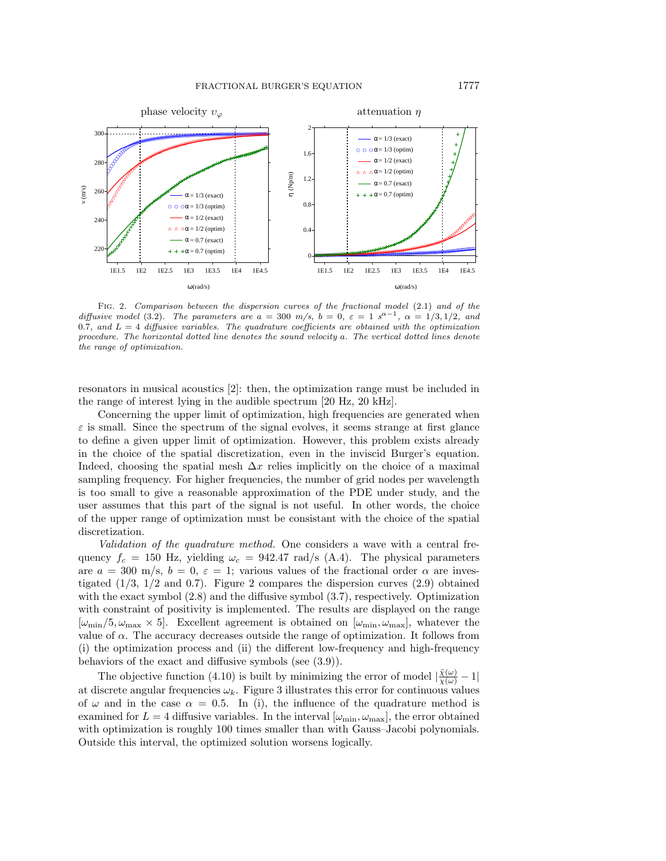<span id="page-13-0"></span>

Fig. 2. Comparison between the dispersion curves of the fractional model [\(2.1\)](#page-3-2) and of the diffusive model [\(3.2\)](#page-6-1). The parameters are  $a = 300$  m/s,  $b = 0$ ,  $\varepsilon = 1$  s<sup> $\alpha - 1$ </sup>,  $\alpha = 1/3$ ,  $1/2$ , and 0.7, and  $L = 4$  diffusive variables. The quadrature coefficients are obtained with the optimization procedure. The horizontal dotted line denotes the sound velocity a. The vertical dotted lines denote the range of optimization.

resonators in musical acoustics [\[2\]](#page-25-14): then, the optimization range must be included in the range of interest lying in the audible spectrum [20 Hz, 20 kHz].

Concerning the upper limit of optimization, high frequencies are generated when  $\varepsilon$  is small. Since the spectrum of the signal evolves, it seems strange at first glance to define a given upper limit of optimization. However, this problem exists already in the choice of the spatial discretization, even in the inviscid Burger's equation. Indeed, choosing the spatial mesh  $\Delta x$  relies implicitly on the choice of a maximal sampling frequency. For higher frequencies, the number of grid nodes per wavelength is too small to give a reasonable approximation of the PDE under study, and the user assumes that this part of the signal is not useful. In other words, the choice of the upper range of optimization must be consistant with the choice of the spatial discretization.

Validation of the quadrature method. One considers a wave with a central frequency  $f_c = 150$  Hz, yielding  $\omega_c = 942.47$  rad/s [\(A.4\)](#page-22-2). The physical parameters are  $a = 300$  m/s,  $b = 0$ ,  $\varepsilon = 1$ ; various values of the fractional order  $\alpha$  are investigated  $(1/3, 1/2, \text{and } 0.7)$ . Figure [2](#page-13-0) compares the dispersion curves  $(2.9)$  obtained with the exact symbol [\(2.8\)](#page-4-6) and the diffusive symbol [\(3.7\)](#page-7-3), respectively. Optimization with constraint of positivity is implemented. The results are displayed on the range  $[\omega_{\text{min}}/5, \omega_{\text{max}} \times 5]$ . Excellent agreement is obtained on  $[\omega_{\text{min}}, \omega_{\text{max}}]$ , whatever the value of  $\alpha$ . The accuracy decreases outside the range of optimization. It follows from (i) the optimization process and (ii) the different low-frequency and high-frequency behaviors of the exact and diffusive symbols (see [\(3.9\)](#page-7-4)).

The objective function [\(4.10\)](#page-12-0) is built by minimizing the error of model  $|\frac{\tilde{\chi}(\omega)}{\chi(\omega)} - 1|$ at discrete angular frequencies  $\omega_k$ . Figure [3](#page-14-1) illustrates this error for continuous values of  $\omega$  and in the case  $\alpha = 0.5$ . In (i), the influence of the quadrature method is examined for  $L = 4$  diffusive variables. In the interval  $[\omega_{\min}, \omega_{\max}]$ , the error obtained with optimization is roughly 100 times smaller than with Gauss–Jacobi polynomials. Outside this interval, the optimized solution worsens logically.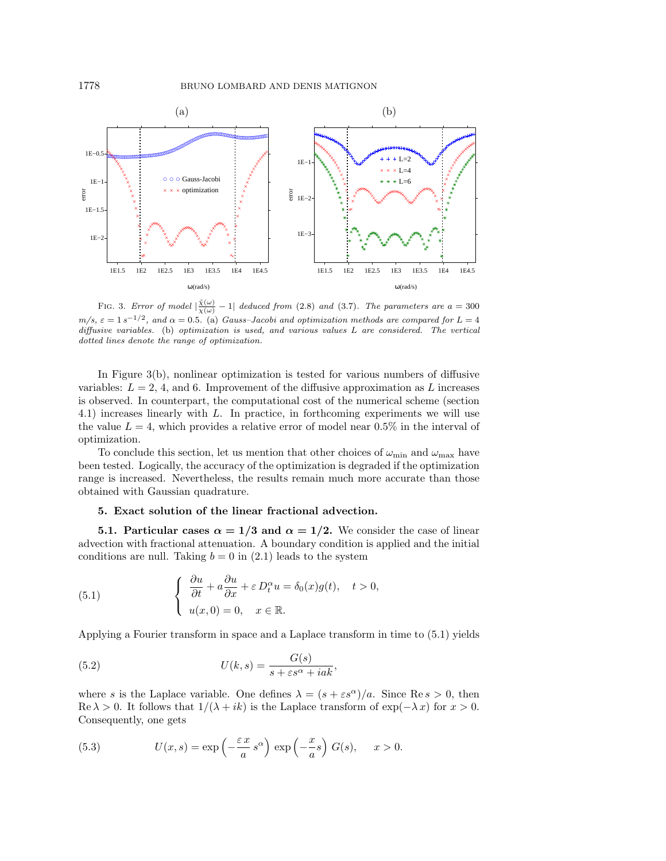<span id="page-14-1"></span>

FIG. 3. Error of model  $|\frac{\tilde{\chi}(\omega)}{\chi(\omega)}-1|$  deduced from [\(2.8\)](#page-4-6) and [\(3.7\)](#page-7-3). The parameters are  $a=300$  $m/s$ ,  $\varepsilon = 1 s^{-1/2}$ , and  $\alpha = 0.5$ . (a) Gauss-Jacobi and optimization methods are compared for  $L = 4$ diffusive variables. (b) optimization is used, and various values L are considered. The vertical dotted lines denote the range of optimization.

In Figure [3\(](#page-14-1)b), nonlinear optimization is tested for various numbers of diffusive variables:  $L = 2, 4$ , and 6. Improvement of the diffusive approximation as L increases is observed. In counterpart, the computational cost of the numerical scheme (section [4.1\)](#page-10-6) increases linearly with L. In practice, in forthcoming experiments we will use the value  $L = 4$ , which provides a relative error of model near 0.5% in the interval of optimization.

To conclude this section, let us mention that other choices of  $\omega_{\text{min}}$  and  $\omega_{\text{max}}$  have been tested. Logically, the accuracy of the optimization is degraded if the optimization range is increased. Nevertheless, the results remain much more accurate than those obtained with Gaussian quadrature.

### <span id="page-14-4"></span>5. Exact solution of the linear fractional advection.

<span id="page-14-0"></span>5.1. Particular cases  $\alpha = 1/3$  and  $\alpha = 1/2$ . We consider the case of linear advection with fractional attenuation. A boundary condition is applied and the initial conditions are null. Taking  $b = 0$  in [\(2.1\)](#page-3-2) leads to the system

<span id="page-14-2"></span>(5.1) 
$$
\begin{cases} \frac{\partial u}{\partial t} + a \frac{\partial u}{\partial x} + \varepsilon D_t^{\alpha} u = \delta_0(x) g(t), \quad t > 0, \\ u(x, 0) = 0, \quad x \in \mathbb{R}. \end{cases}
$$

Applying a Fourier transform in space and a Laplace transform in time to [\(5.1\)](#page-14-2) yields

(5.2) 
$$
U(k,s) = \frac{G(s)}{s + \varepsilon s^{\alpha} + iak},
$$

where s is the Laplace variable. One defines  $\lambda = (s + \varepsilon s^{\alpha})/a$ . Since Re  $s > 0$ , then  $\text{Re }\lambda > 0$ . It follows that  $1/(\lambda + ik)$  is the Laplace transform of  $\exp(-\lambda x)$  for  $x > 0$ . Consequently, one gets

<span id="page-14-3"></span>(5.3) 
$$
U(x,s) = \exp\left(-\frac{\varepsilon x}{a} s^{\alpha}\right) \exp\left(-\frac{x}{a} s\right) G(s), \quad x > 0.
$$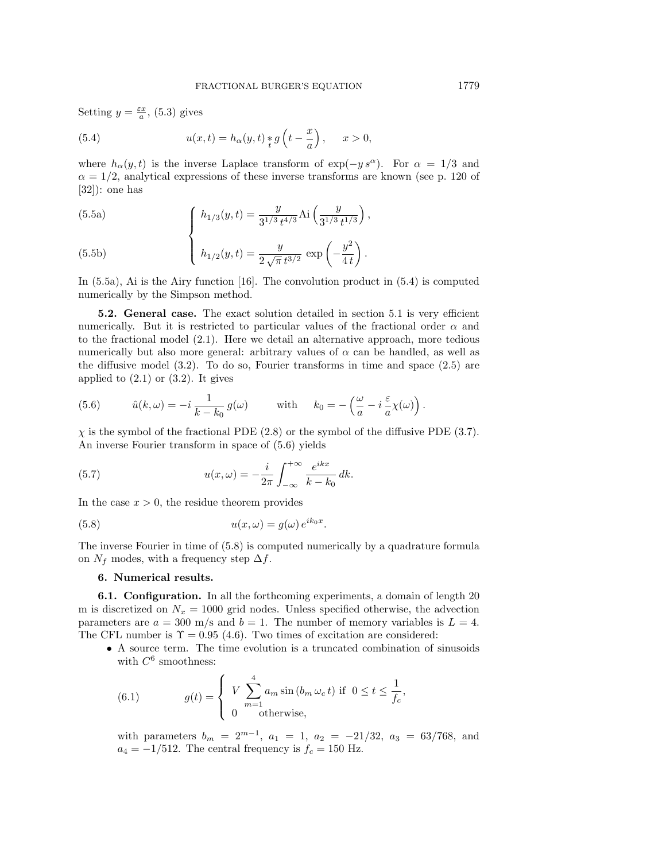Setting  $y = \frac{\varepsilon x}{a}$ , [\(5.3\)](#page-14-3) gives

<span id="page-15-2"></span>(5.4) 
$$
u(x,t) = h_{\alpha}(y,t) *_{t} g(t - \frac{x}{a}), \quad x > 0,
$$

where  $h_{\alpha}(y, t)$  is the inverse Laplace transform of exp( $-y s^{\alpha}$ ). For  $\alpha = 1/3$  and  $\alpha = 1/2$ , analytical expressions of these inverse transforms are known (see p. 120 of [\[32\]](#page-26-11)): one has

(5.5a) 
$$
\int h_{1/3}(y,t) = \frac{y}{3^{1/3} t^{4/3}} \text{Ai}\left(\frac{y}{3^{1/3} t^{1/3}}\right),
$$

<span id="page-15-1"></span>(5.5b) 
$$
\left\{ h_{1/2}(y,t) = \frac{y}{2\sqrt{\pi} t^{3/2}} \exp\left(-\frac{y^2}{4t}\right) \right\}.
$$

In [\(5.5a\)](#page-15-1), Ai is the Airy function [\[16\]](#page-25-15). The convolution product in [\(5.4\)](#page-15-2) is computed numerically by the Simpson method.

<span id="page-15-6"></span>5.2. General case. The exact solution detailed in section [5.1](#page-14-0) is very efficient numerically. But it is restricted to particular values of the fractional order  $\alpha$  and to the fractional model [\(2.1\)](#page-3-2). Here we detail an alternative approach, more tedious numerically but also more general: arbitrary values of  $\alpha$  can be handled, as well as the diffusive model [\(3.2\)](#page-6-1). To do so, Fourier transforms in time and space [\(2.5\)](#page-3-4) are applied to  $(2.1)$  or  $(3.2)$ . It gives

<span id="page-15-3"></span>(5.6) 
$$
\hat{u}(k,\omega) = -i \frac{1}{k-k_0} g(\omega) \quad \text{with} \quad k_0 = -\left(\frac{\omega}{a} - i \frac{\varepsilon}{a} \chi(\omega)\right).
$$

 $\chi$  is the symbol of the fractional PDE [\(2.8\)](#page-4-6) or the symbol of the diffusive PDE [\(3.7\)](#page-7-3). An inverse Fourier transform in space of [\(5.6\)](#page-15-3) yields

(5.7) 
$$
u(x,\omega) = -\frac{i}{2\pi} \int_{-\infty}^{+\infty} \frac{e^{ikx}}{k - k_0} dk.
$$

In the case  $x > 0$ , the residue theorem provides

(5.8) 
$$
u(x,\omega) = g(\omega) e^{ik_0 x}.
$$

The inverse Fourier in time of [\(5.8\)](#page-15-4) is computed numerically by a quadrature formula on  $N_f$  modes, with a frequency step  $\Delta f$ .

#### <span id="page-15-4"></span><span id="page-15-0"></span>6. Numerical results.

6.1. Configuration. In all the forthcoming experiments, a domain of length 20 m is discretized on  $N_x = 1000$  grid nodes. Unless specified otherwise, the advection parameters are  $a = 300$  m/s and  $b = 1$ . The number of memory variables is  $L = 4$ . The CFL number is  $\Upsilon = 0.95$  [\(4.6\)](#page-10-5). Two times of excitation are considered:

• A source term. The time evolution is a truncated combination of sinusoids with  $C^6$  smoothness:

<span id="page-15-5"></span>(6.1) 
$$
g(t) = \begin{cases} V \sum_{m=1}^{4} a_m \sin(b_m \omega_c t) & \text{if } 0 \le t \le \frac{1}{f_c}, \\ 0 & \text{otherwise}, \end{cases}
$$

with parameters  $b_m = 2^{m-1}$ ,  $a_1 = 1$ ,  $a_2 = -21/32$ ,  $a_3 = 63/768$ , and  $a_4 = -1/512$ . The central frequency is  $f_c = 150$  Hz.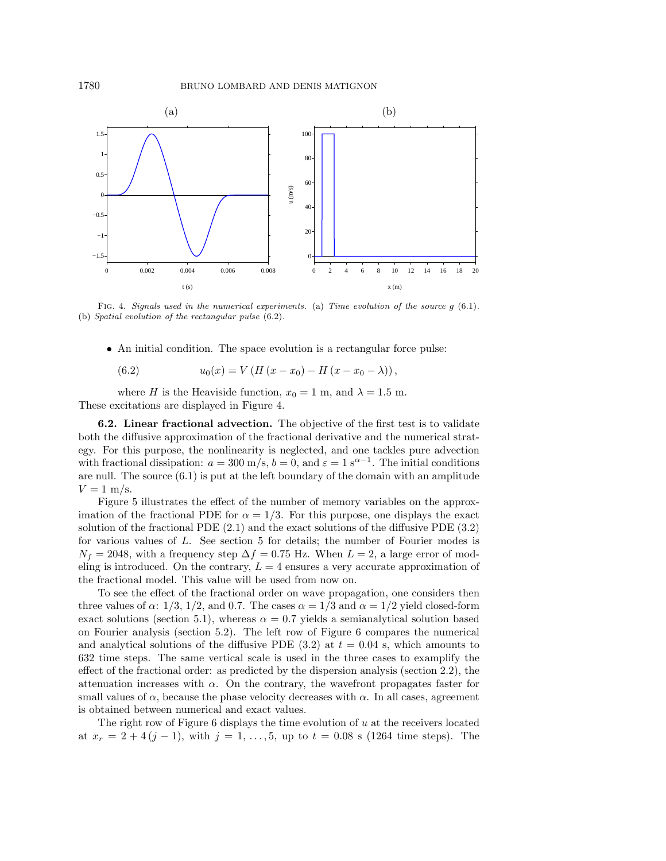<span id="page-16-1"></span>

FIG. 4. Signals used in the numerical experiments. (a) Time evolution of the source  $g(6.1)$  $g(6.1)$ . (b) Spatial evolution of the rectangular pulse [\(6.2\)](#page-16-0).

- <span id="page-16-0"></span>• An initial condition. The space evolution is a rectangular force pulse:
	- (6.2)  $u_0(x) = V(H(x x_0) H(x x_0 \lambda)),$

where H is the Heaviside function,  $x_0 = 1$  m, and  $\lambda = 1.5$  m. These excitations are displayed in Figure [4.](#page-16-1)

6.2. Linear fractional advection. The objective of the first test is to validate both the diffusive approximation of the fractional derivative and the numerical strategy. For this purpose, the nonlinearity is neglected, and one tackles pure advection with fractional dissipation:  $a = 300$  m/s,  $b = 0$ , and  $\varepsilon = 1$  s<sup> $\alpha - 1$ </sup>. The initial conditions are null. The source  $(6.1)$  is put at the left boundary of the domain with an amplitude  $V = 1$  m/s.

Figure [5](#page-17-1) illustrates the effect of the number of memory variables on the approximation of the fractional PDE for  $\alpha = 1/3$ . For this purpose, one displays the exact solution of the fractional PDE [\(2.1\)](#page-3-2) and the exact solutions of the diffusive PDE [\(3.2\)](#page-6-1) for various values of L. See section [5](#page-14-4) for details; the number of Fourier modes is  $N_f = 2048$ , with a frequency step  $\Delta f = 0.75$  Hz. When  $L = 2$ , a large error of modeling is introduced. On the contrary,  $L = 4$  ensures a very accurate approximation of the fractional model. This value will be used from now on.

To see the effect of the fractional order on wave propagation, one considers then three values of  $\alpha$ : 1/3, 1/2, and 0.7. The cases  $\alpha = 1/3$  and  $\alpha = 1/2$  yield closed-form exact solutions (section [5.1\)](#page-14-0), whereas  $\alpha = 0.7$  yields a semianalytical solution based on Fourier analysis (section [5.2\)](#page-15-6). The left row of Figure [6](#page-18-0) compares the numerical and analytical solutions of the diffusive PDE [\(3.2\)](#page-6-1) at  $t = 0.04$  s, which amounts to 632 time steps. The same vertical scale is used in the three cases to examplify the effect of the fractional order: as predicted by the dispersion analysis (section [2.2\)](#page-3-6), the attenuation increases with  $\alpha$ . On the contrary, the wavefront propagates faster for small values of  $\alpha$ , because the phase velocity decreases with  $\alpha$ . In all cases, agreement is obtained between numerical and exact values.

The right row of Figure [6](#page-18-0) displays the time evolution of u at the receivers located at  $x_r = 2 + 4(j - 1)$ , with  $j = 1, ..., 5$ , up to  $t = 0.08$  s (1264 time steps). The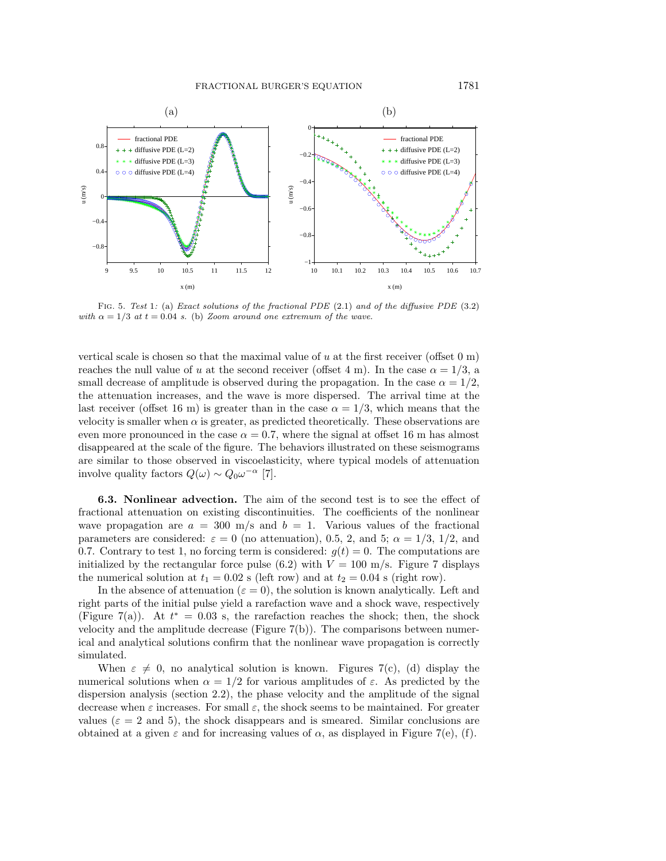<span id="page-17-1"></span>

Fig. 5. Test 1: (a) Exact solutions of the fractional PDE [\(2.1\)](#page-3-2) and of the diffusive PDE [\(3.2\)](#page-6-1) with  $\alpha = 1/3$  at  $t = 0.04$  s. (b) Zoom around one extremum of the wave.

vertical scale is chosen so that the maximal value of  $u$  at the first receiver (offset 0 m) reaches the null value of u at the second receiver (offset 4 m). In the case  $\alpha = 1/3$ , a small decrease of amplitude is observed during the propagation. In the case  $\alpha = 1/2$ , the attenuation increases, and the wave is more dispersed. The arrival time at the last receiver (offset 16 m) is greater than in the case  $\alpha = 1/3$ , which means that the velocity is smaller when  $\alpha$  is greater, as predicted theoretically. These observations are even more pronounced in the case  $\alpha = 0.7$ , where the signal at offset 16 m has almost disappeared at the scale of the figure. The behaviors illustrated on these seismograms are similar to those observed in viscoelasticity, where typical models of attenuation involve quality factors  $Q(\omega) \sim Q_0 \omega^{-\alpha}$  [\[7\]](#page-25-13).

6.3. Nonlinear advection. The aim of the second test is to see the effect of fractional attenuation on existing discontinuities. The coefficients of the nonlinear wave propagation are  $a = 300$  m/s and  $b = 1$ . Various values of the fractional parameters are considered:  $\varepsilon = 0$  (no attenuation), 0.5, 2, and 5;  $\alpha = 1/3$ , 1/2, and 0.7. Contrary to test 1, no forcing term is considered:  $g(t) = 0$ . The computations are initialized by the rectangular force pulse [\(6.2\)](#page-16-0) with  $V = 100$  m/s. Figure [7](#page-19-0) displays the numerical solution at  $t_1 = 0.02$  s (left row) and at  $t_2 = 0.04$  s (right row).

In the absence of attenuation ( $\varepsilon = 0$ ), the solution is known analytically. Left and right parts of the initial pulse yield a rarefaction wave and a shock wave, respectively (Figure 7(a)). At  $t^* = 0.03$  s, the rarefaction reaches the shock; then, the shock velocity and the amplitude decrease (Figure 7(b)). The comparisons between numerical and analytical solutions confirm that the nonlinear wave propagation is correctly simulated.

<span id="page-17-0"></span>When  $\varepsilon \neq 0$ , no analytical solution is known. Figures [7\(](#page-19-0)c), (d) display the numerical solutions when  $\alpha = 1/2$  for various amplitudes of  $\varepsilon$ . As predicted by the dispersion analysis (section [2.2\)](#page-3-6), the phase velocity and the amplitude of the signal decrease when  $\varepsilon$  increases. For small  $\varepsilon$ , the shock seems to be maintained. For greater values ( $\varepsilon = 2$  and 5), the shock disappears and is smeared. Similar conclusions are obtained at a given  $\varepsilon$  and for increasing values of  $\alpha$ , as displayed in Figure [7\(](#page-19-0)e), (f).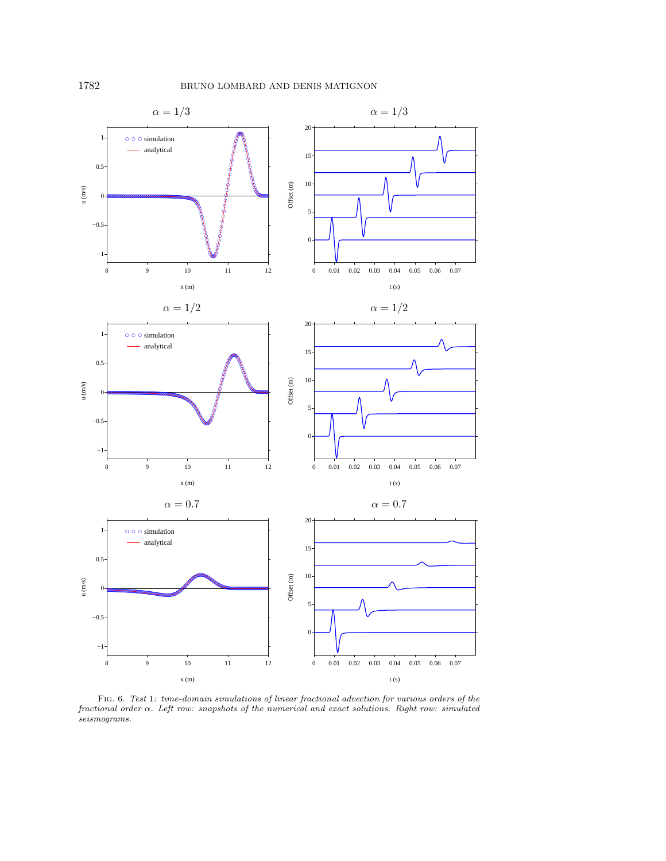<span id="page-18-0"></span>

Fig. 6. Test 1: time-domain simulations of linear fractional advection for various orders of the fractional order  $\alpha$ . Left row: snapshots of the numerical and exact solutions. Right row: simulated seismograms.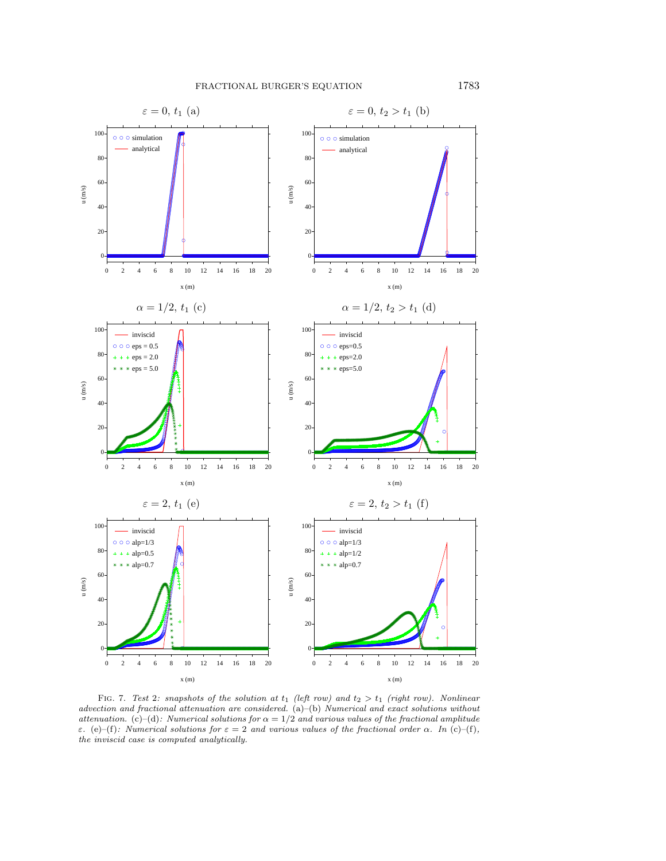<span id="page-19-0"></span>

FIG. 7. Test 2: snapshots of the solution at  $t_1$  (left row) and  $t_2 > t_1$  (right row). Nonlinear advection and fractional attenuation are considered. (a)–(b) Numerical and exact solutions without attenuation. (c)–(d): Numerical solutions for  $\alpha = 1/2$  and various values of the fractional amplitude ε. (e)–(f): Numerical solutions for  $\varepsilon = 2$  and various values of the fractional order α. In (c)–(f), the inviscid case is computed analytically.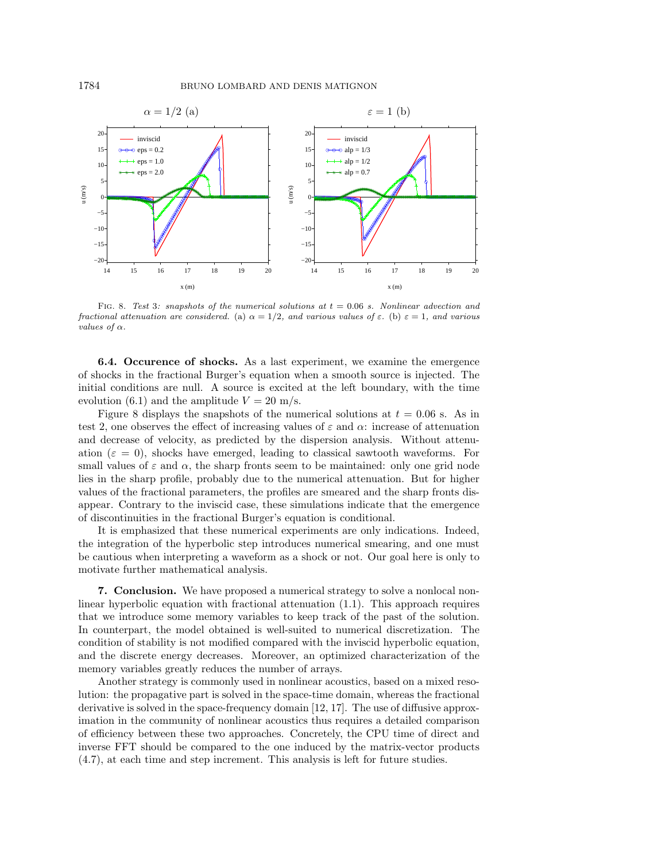<span id="page-20-1"></span>

FIG. 8. Test 3: snapshots of the numerical solutions at  $t = 0.06$  s. Nonlinear advection and fractional attenuation are considered. (a)  $\alpha = 1/2$ , and various values of  $\varepsilon$ . (b)  $\varepsilon = 1$ , and various values of  $\alpha$ .

6.4. Occurence of shocks. As a last experiment, we examine the emergence of shocks in the fractional Burger's equation when a smooth source is injected. The initial conditions are null. A source is excited at the left boundary, with the time evolution [\(6.1\)](#page-15-5) and the amplitude  $V = 20$  m/s.

Figure [8](#page-20-1) displays the snapshots of the numerical solutions at  $t = 0.06$  s. As in test 2, one observes the effect of increasing values of  $\varepsilon$  and  $\alpha$ : increase of attenuation and decrease of velocity, as predicted by the dispersion analysis. Without attenuation ( $\varepsilon = 0$ ), shocks have emerged, leading to classical sawtooth waveforms. For small values of  $\varepsilon$  and  $\alpha$ , the sharp fronts seem to be maintained: only one grid node lies in the sharp profile, probably due to the numerical attenuation. But for higher values of the fractional parameters, the profiles are smeared and the sharp fronts disappear. Contrary to the inviscid case, these simulations indicate that the emergence of discontinuities in the fractional Burger's equation is conditional.

It is emphasized that these numerical experiments are only indications. Indeed, the integration of the hyperbolic step introduces numerical smearing, and one must be cautious when interpreting a waveform as a shock or not. Our goal here is only to motivate further mathematical analysis.

<span id="page-20-0"></span>7. Conclusion. We have proposed a numerical strategy to solve a nonlocal nonlinear hyperbolic equation with fractional attenuation [\(1.1\)](#page-1-0). This approach requires that we introduce some memory variables to keep track of the past of the solution. In counterpart, the model obtained is well-suited to numerical discretization. The condition of stability is not modified compared with the inviscid hyperbolic equation, and the discrete energy decreases. Moreover, an optimized characterization of the memory variables greatly reduces the number of arrays.

Another strategy is commonly used in nonlinear acoustics, based on a mixed resolution: the propagative part is solved in the space-time domain, whereas the fractional derivative is solved in the space-frequency domain [\[12,](#page-25-16) [17\]](#page-25-17). The use of diffusive approximation in the community of nonlinear acoustics thus requires a detailed comparison of efficiency between these two approaches. Concretely, the CPU time of direct and inverse FFT should be compared to the one induced by the matrix-vector products [\(4.7\)](#page-11-1), at each time and step increment. This analysis is left for future studies.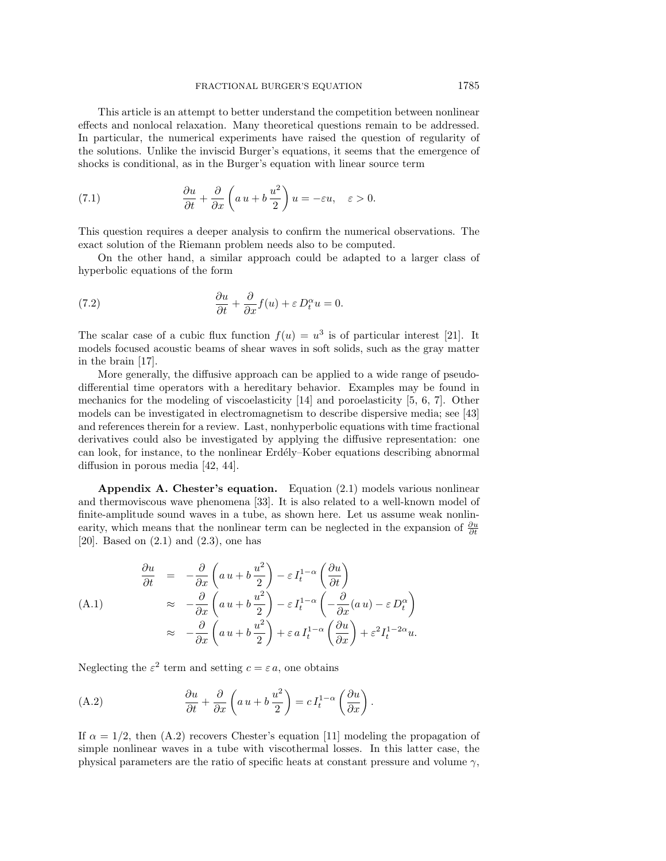This article is an attempt to better understand the competition between nonlinear effects and nonlocal relaxation. Many theoretical questions remain to be addressed. In particular, the numerical experiments have raised the question of regularity of the solutions. Unlike the inviscid Burger's equations, it seems that the emergence of shocks is conditional, as in the Burger's equation with linear source term

(7.1) 
$$
\frac{\partial u}{\partial t} + \frac{\partial}{\partial x} \left( a u + b \frac{u^2}{2} \right) u = -\varepsilon u, \quad \varepsilon > 0.
$$

This question requires a deeper analysis to confirm the numerical observations. The exact solution of the Riemann problem needs also to be computed.

On the other hand, a similar approach could be adapted to a larger class of hyperbolic equations of the form

(7.2) 
$$
\frac{\partial u}{\partial t} + \frac{\partial}{\partial x} f(u) + \varepsilon D_t^{\alpha} u = 0.
$$

The scalar case of a cubic flux function  $f(u) = u^3$  is of particular interest [\[21\]](#page-25-18). It models focused acoustic beams of shear waves in soft solids, such as the gray matter in the brain [\[17\]](#page-25-17).

More generally, the diffusive approach can be applied to a wide range of pseudodifferential time operators with a hereditary behavior. Examples may be found in mechanics for the modeling of viscoelasticity [\[14\]](#page-25-6) and poroelasticity [\[5,](#page-25-12) [6,](#page-25-11) [7\]](#page-25-13). Other models can be investigated in electromagnetism to describe dispersive media; see [\[43\]](#page-26-25) and references therein for a review. Last, nonhyperbolic equations with time fractional derivatives could also be investigated by applying the diffusive representation: one can look, for instance, to the nonlinear Erd´ely–Kober equations describing abnormal diffusion in porous media [\[42,](#page-26-26) [44\]](#page-26-27).

Appendix A. Chester's equation. Equation [\(2.1\)](#page-3-2) models various nonlinear and thermoviscous wave phenomena [\[33\]](#page-26-13). It is also related to a well-known model of finite-amplitude sound waves in a tube, as shown here. Let us assume weak nonlinearity, which means that the nonlinear term can be neglected in the expansion of  $\frac{\partial u}{\partial t}$ [\[20\]](#page-25-19). Based on [\(2.1\)](#page-3-2) and [\(2.3\)](#page-3-7), one has

$$
\frac{\partial u}{\partial t} = -\frac{\partial}{\partial x} \left( a u + b \frac{u^2}{2} \right) - \varepsilon I_t^{1-\alpha} \left( \frac{\partial u}{\partial t} \right)
$$
\n
$$
\approx -\frac{\partial}{\partial x} \left( a u + b \frac{u^2}{2} \right) - \varepsilon I_t^{1-\alpha} \left( -\frac{\partial}{\partial x} (a u) - \varepsilon D_t^{\alpha} \right)
$$
\n
$$
\approx -\frac{\partial}{\partial x} \left( a u + b \frac{u^2}{2} \right) + \varepsilon a I_t^{1-\alpha} \left( \frac{\partial u}{\partial x} \right) + \varepsilon^2 I_t^{1-2\alpha} u.
$$

Neglecting the  $\varepsilon^2$  term and setting  $c = \varepsilon a$ , one obtains

<span id="page-21-0"></span>(A.2) 
$$
\frac{\partial u}{\partial t} + \frac{\partial}{\partial x} \left( a u + b \frac{u^2}{2} \right) = c I_t^{1-\alpha} \left( \frac{\partial u}{\partial x} \right).
$$

If  $\alpha = 1/2$ , then  $(A.2)$  recovers Chester's equation [\[11\]](#page-25-3) modeling the propagation of simple nonlinear waves in a tube with viscothermal losses. In this latter case, the physical parameters are the ratio of specific heats at constant pressure and volume  $\gamma$ ,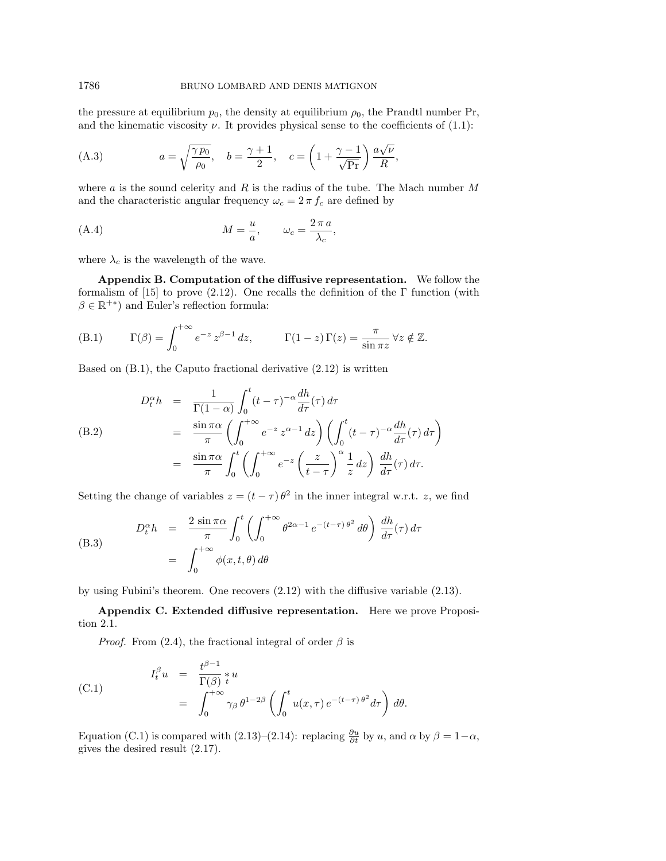the pressure at equilibrium  $p_0$ , the density at equilibrium  $\rho_0$ , the Prandtl number Pr, and the kinematic viscosity  $\nu$ . It provides physical sense to the coefficients of [\(1.1\)](#page-1-0):

(A.3) 
$$
a = \sqrt{\frac{\gamma p_0}{\rho_0}}, \quad b = \frac{\gamma + 1}{2}, \quad c = \left(1 + \frac{\gamma - 1}{\sqrt{p_{\Gamma}}}\right) \frac{a\sqrt{\nu}}{R},
$$

where a is the sound celerity and R is the radius of the tube. The Mach number  $M$ and the characteristic angular frequency  $\omega_c=2\,\pi\,f_c$  are defined by

<span id="page-22-2"></span>(A.4) 
$$
M = \frac{u}{a}, \qquad \omega_c = \frac{2 \pi a}{\lambda_c},
$$

<span id="page-22-0"></span>where  $\lambda_c$  is the wavelength of the wave.

Appendix B. Computation of the diffusive representation. We follow the formalism of [\[15\]](#page-25-8) to prove [\(2.12\)](#page-5-0). One recalls the definition of the Γ function (with  $\beta \in \mathbb{R}^{+*}$ ) and Euler's reflection formula:

<span id="page-22-3"></span>(B.1) 
$$
\Gamma(\beta) = \int_0^{+\infty} e^{-z} z^{\beta - 1} dz, \qquad \Gamma(1 - z) \Gamma(z) = \frac{\pi}{\sin \pi z} \forall z \notin \mathbb{Z}.
$$

Based on [\(B.1\)](#page-22-3), the Caputo fractional derivative [\(2.12\)](#page-5-0) is written

(B.2)  
\n
$$
D_t^{\alpha} h = \frac{1}{\Gamma(1-\alpha)} \int_0^t (t-\tau)^{-\alpha} \frac{dh}{d\tau}(\tau) d\tau
$$
\n
$$
= \frac{\sin \pi \alpha}{\pi} \left( \int_0^{+\infty} e^{-z} z^{\alpha-1} dz \right) \left( \int_0^t (t-\tau)^{-\alpha} \frac{dh}{d\tau}(\tau) d\tau \right)
$$
\n
$$
= \frac{\sin \pi \alpha}{\pi} \int_0^t \left( \int_0^{+\infty} e^{-z} \left( \frac{z}{t-\tau} \right)^{\alpha} \frac{1}{z} dz \right) \frac{dh}{d\tau}(\tau) d\tau.
$$

Setting the change of variables  $z = (t - \tau) \theta^2$  in the inner integral w.r.t. z, we find

(B.3)  
\n
$$
D_t^{\alpha} h = \frac{2 \sin \pi \alpha}{\pi} \int_0^t \left( \int_0^{+\infty} \theta^{2\alpha - 1} e^{-(t-\tau)\theta^2} d\theta \right) \frac{dh}{d\tau}(\tau) d\tau
$$
\n
$$
= \int_0^{+\infty} \phi(x, t, \theta) d\theta
$$

by using Fubini's theorem. One recovers [\(2.12\)](#page-5-0) with the diffusive variable [\(2.13\)](#page-5-1).

<span id="page-22-1"></span>Appendix C. Extended diffusive representation. Here we prove Proposition [2.1.](#page-5-4)

<span id="page-22-4"></span>*Proof.* From [\(2.4\)](#page-3-5), the fractional integral of order  $\beta$  is

(C.1) 
$$
I_t^{\beta} u = \frac{t^{\beta - 1}}{\Gamma(\beta)} * u
$$

$$
= \int_0^{+\infty} \gamma_{\beta} \theta^{1 - 2\beta} \left( \int_0^t u(x, \tau) e^{-(t - \tau) \theta^2} d\tau \right) d\theta.
$$

Equation [\(C.1\)](#page-22-4) is compared with [\(2.13\)](#page-5-1)–[\(2.14\)](#page-5-2): replacing  $\frac{\partial u}{\partial t}$  by u, and  $\alpha$  by  $\beta = 1 - \alpha$ , gives the desired result [\(2.17\)](#page-5-5).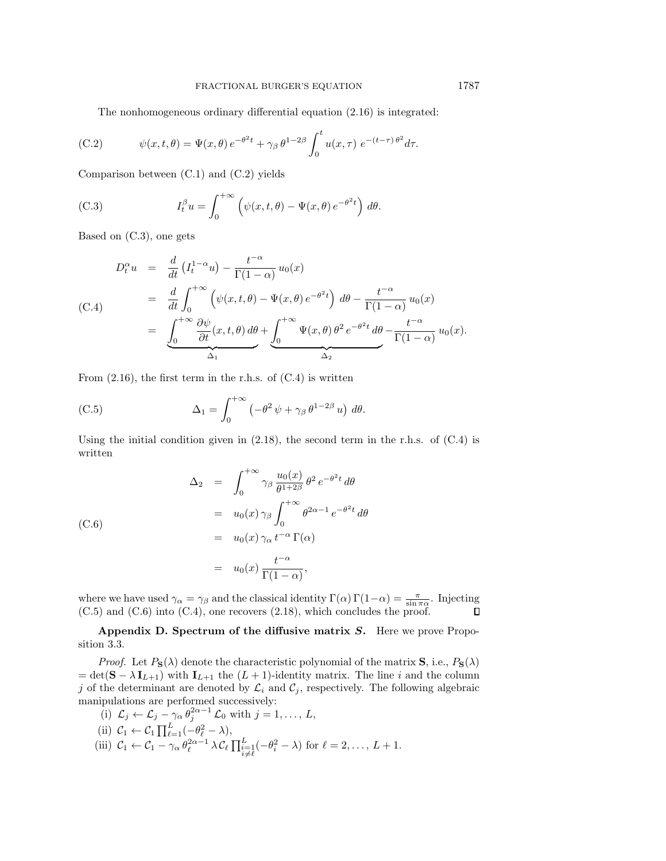<span id="page-23-1"></span>The nonhomogeneous ordinary differential equation [\(2.16\)](#page-5-3) is integrated:

(C.2) 
$$
\psi(x,t,\theta) = \Psi(x,\theta) e^{-\theta^2 t} + \gamma_\beta \theta^{1-2\beta} \int_0^t u(x,\tau) e^{-(t-\tau)\theta^2} d\tau.
$$

Comparison between [\(C.1\)](#page-22-4) and [\(C.2\)](#page-23-1) yields

<span id="page-23-2"></span>(C.3) 
$$
I_t^{\beta} u = \int_0^{+\infty} \left( \psi(x, t, \theta) - \Psi(x, \theta) e^{-\theta^2 t} \right) d\theta.
$$

Based on [\(C.3\)](#page-23-2), one gets

<span id="page-23-3"></span>
$$
D_t^{\alpha} u = \frac{d}{dt} (I_t^{1-\alpha} u) - \frac{t^{-\alpha}}{\Gamma(1-\alpha)} u_0(x)
$$
  
\n(C.4)  
\n
$$
= \frac{d}{dt} \int_0^{+\infty} \left( \psi(x, t, \theta) - \Psi(x, \theta) e^{-\theta^2 t} \right) d\theta - \frac{t^{-\alpha}}{\Gamma(1-\alpha)} u_0(x)
$$
  
\n
$$
= \underbrace{\int_0^{+\infty} \frac{\partial \psi}{\partial t}(x, t, \theta) d\theta}_{\Delta_1} + \underbrace{\int_0^{+\infty} \Psi(x, \theta) d^2 e^{-\theta^2 t} d\theta}_{\Delta_2} - \frac{t^{-\alpha}}{\Gamma(1-\alpha)} u_0(x).
$$

From  $(2.16)$ , the first term in the r.h.s. of  $(C.4)$  is written

<span id="page-23-4"></span>(C.5) 
$$
\Delta_1 = \int_0^{+\infty} \left( -\theta^2 \psi + \gamma_\beta \theta^{1-2\beta} u \right) d\theta.
$$

Using the initial condition given in  $(2.18)$ , the second term in the r.h.s. of  $(C.4)$  is written

<span id="page-23-5"></span>
$$
\Delta_2 = \int_0^{+\infty} \gamma_\beta \frac{u_0(x)}{\theta^{1+2\beta}} \theta^2 e^{-\theta^2 t} d\theta
$$
  
\n
$$
= u_0(x) \gamma_\beta \int_0^{+\infty} \theta^{2\alpha-1} e^{-\theta^2 t} d\theta
$$
  
\n
$$
= u_0(x) \gamma_\alpha t^{-\alpha} \Gamma(\alpha)
$$
  
\n
$$
= u_0(x) \frac{t^{-\alpha}}{\Gamma(1-\alpha)},
$$

where we have used  $\gamma_{\alpha} = \gamma_{\beta}$  and the classical identity  $\Gamma(\alpha) \Gamma(1-\alpha) = \frac{\pi}{\sin \pi \alpha}$ . Injecting [\(C.5\)](#page-23-4) and [\(C.6\)](#page-23-5) into [\(C.4\)](#page-23-3), one recovers [\(2.18\)](#page-5-4), which concludes the proof.  $\Box$ 

<span id="page-23-0"></span>Appendix D. Spectrum of the diffusive matrix  $S$ . Here we prove Proposition [3.3.](#page-9-0)

*Proof.* Let  $P_S(\lambda)$  denote the characteristic polynomial of the matrix **S**, i.e.,  $P_S(\lambda)$  $= det(\mathbf{S} - \lambda \mathbf{I}_{L+1})$  with  $\mathbf{I}_{L+1}$  the  $(L+1)$ -identity matrix. The line i and the column j of the determinant are denoted by  $\mathcal{L}_i$  and  $\mathcal{C}_j$ , respectively. The following algebraic manipulations are performed successively:

(i) 
$$
\mathcal{L}_j \leftarrow \mathcal{L}_j - \gamma_\alpha \theta_j^{2\alpha - 1} \mathcal{L}_0
$$
 with  $j = 1, ..., L$ ,  
\n(ii)  $\mathcal{C}_1 \leftarrow \mathcal{C}_1 \prod_{\ell=1}^L (-\theta_\ell^2 - \lambda)$ ,  
\n(iii)  $\mathcal{C}_1 \leftarrow \mathcal{C}_1 - \gamma_\alpha \theta_\ell^{2\alpha - 1} \lambda \mathcal{C}_\ell \prod_{\substack{i=1 \ i \neq \ell}}^L (-\theta_i^2 - \lambda)$  for  $\ell = 2, ..., L + 1$ .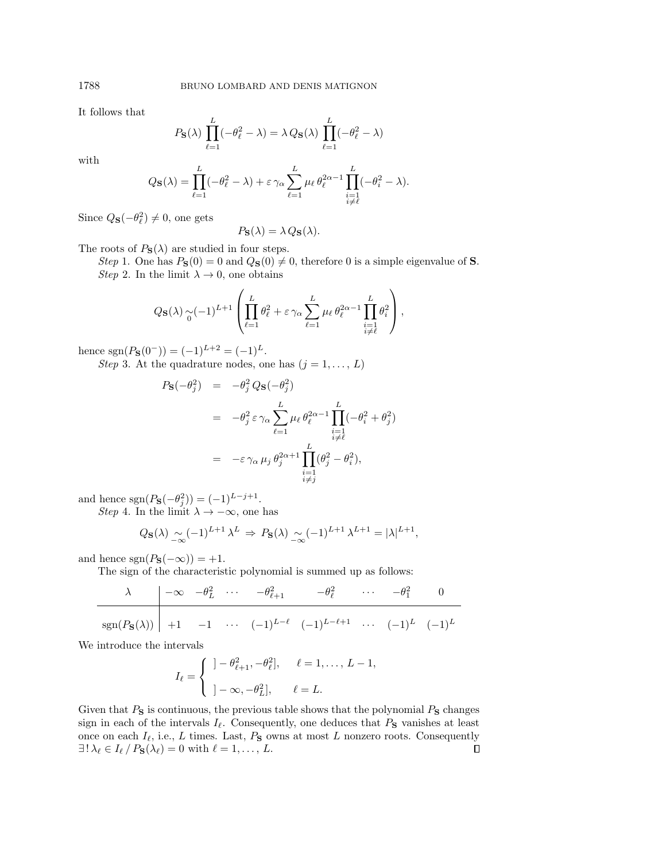It follows that

$$
P_{\mathbf{S}}(\lambda) \prod_{\ell=1}^{L} (-\theta_{\ell}^{2} - \lambda) = \lambda Q_{\mathbf{S}}(\lambda) \prod_{\ell=1}^{L} (-\theta_{\ell}^{2} - \lambda)
$$

with

$$
Q_{\mathbf{S}}(\lambda) = \prod_{\ell=1}^{L} (-\theta_{\ell}^{2} - \lambda) + \varepsilon \gamma_{\alpha} \sum_{\ell=1}^{L} \mu_{\ell} \theta_{\ell}^{2\alpha - 1} \prod_{\substack{i=1 \\ i \neq \ell}}^{L} (-\theta_{i}^{2} - \lambda).
$$

Since  $Q_{\mathbf{S}}(-\theta_{\ell}^2) \neq 0$ , one gets

$$
P_{\mathbf{S}}(\lambda) = \lambda Q_{\mathbf{S}}(\lambda).
$$

The roots of  $P_{\mathbf{S}}(\lambda)$  are studied in four steps.

Step 1. One has  $P_{\mathbf{S}}(0) = 0$  and  $Q_{\mathbf{S}}(0) \neq 0$ , therefore 0 is a simple eigenvalue of **S**. Step 2. In the limit  $\lambda \to 0$ , one obtains

$$
Q_{\mathbf{S}}(\lambda) \sim (-1)^{L+1} \left( \prod_{\ell=1}^{L} \theta_{\ell}^{2} + \varepsilon \gamma_{\alpha} \sum_{\ell=1}^{L} \mu_{\ell} \theta_{\ell}^{2\alpha-1} \prod_{\substack{i=1 \\ i \neq \ell}}^{L} \theta_{i}^{2} \right),
$$

hence sgn $(P_S(0^-)) = (-1)^{L+2} = (-1)^L$ .

Step 3. At the quadrature nodes, one has  $(j = 1, ..., L)$ 

$$
P_{\mathbf{S}}(-\theta_j^2) = -\theta_j^2 Q_{\mathbf{S}}(-\theta_j^2)
$$
  
=  $-\theta_j^2 \varepsilon \gamma_\alpha \sum_{\ell=1}^L \mu_\ell \theta_\ell^{2\alpha-1} \prod_{\substack{i=1 \ i \neq \ell}}^L (-\theta_i^2 + \theta_j^2)$   
=  $-\varepsilon \gamma_\alpha \mu_j \theta_j^{2\alpha+1} \prod_{\substack{i=1 \ i \neq j}}^L (\theta_j^2 - \theta_i^2),$ 

and hence  $sgn(P_S(-\theta_j^2)) = (-1)^{L-j+1}$ .

Step 4. In the limit  $\lambda \to -\infty$ , one has

$$
Q_{\mathbf{S}}(\lambda) \sim (-1)^{L+1} \lambda^L \Rightarrow P_{\mathbf{S}}(\lambda) \sim (-1)^{L+1} \lambda^{L+1} = |\lambda|^{L+1},
$$

and hence  $sgn(P_S(-\infty)) = +1$ .

The sign of the characteristic polynomial is summed up as follows:

$$
\begin{array}{c|ccccccccc}\n\lambda & -\infty & -\theta_L^2 & \cdots & -\theta_{\ell+1}^2 & -\theta_\ell^2 & \cdots & -\theta_1^2 & 0 \\
\hline\n\operatorname{sgn}(P_\mathbf{S}(\lambda)) & +1 & -1 & \cdots & (-1)^{L-\ell} & (-1)^{L-\ell+1} & \cdots & (-1)^L & (-1)^L\n\end{array}
$$

We introduce the intervals

$$
I_{\ell} = \begin{cases} \vert -\theta_{\ell+1}^2, -\theta_{\ell}^2 \vert, & \ell = 1, \ldots, L-1, \\ \vert -\infty, -\theta_L^2 \vert, & \ell = L. \end{cases}
$$

Given that  $P<sub>S</sub>$  is continuous, the previous table shows that the polynomial  $P<sub>S</sub>$  changes sign in each of the intervals  $I_\ell$ . Consequently, one deduces that  $P_\mathbf{S}$  vanishes at least once on each  $I_{\ell}$ , i.e., L times. Last,  $P_{\mathbf{S}}$  owns at most L nonzero roots. Consequently  $\exists ! \lambda_{\ell} \in I_{\ell} / P_{\mathbf{S}}(\lambda_{\ell}) = 0$  with  $\ell = 1, \ldots, L$ .  $\Box$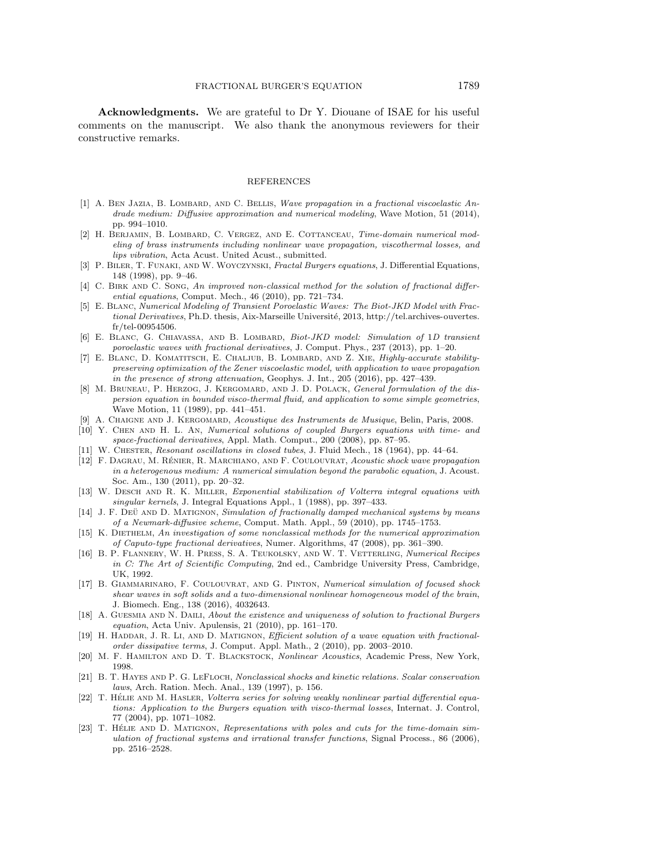Acknowledgments. We are grateful to Dr Y. Diouane of ISAE for his useful comments on the manuscript. We also thank the anonymous reviewers for their constructive remarks.

#### REFERENCES

- [1] A. BEN JAZIA, B. LOMBARD, AND C. BELLIS, Wave propagation in a fractional viscoelastic Andrade medium: Diffusive approximation and numerical modeling, Wave Motion, 51 (2014), pp. 994–1010.
- <span id="page-25-14"></span>[2] H. Berjamin, B. Lombard, C. Vergez, and E. Cottanceau, Time-domain numerical modeling of brass instruments including nonlinear wave propagation, viscothermal losses, and lips vibration, Acta Acust. United Acust., submitted.
- <span id="page-25-1"></span>[3] P. Biler, T. Funaki, and W. Woyczynski, Fractal Burgers equations, J. Differential Equations, 148 (1998), pp. 9–46.
- <span id="page-25-9"></span>[4] C. BIRK AND C. SONG, An improved non-classical method for the solution of fractional differential equations, Comput. Mech., 46 (2010), pp. 721–734.
- <span id="page-25-12"></span>[5] E. Blanc, Numerical Modeling of Transient Poroelastic Waves: The Biot-JKD Model with Fractional Derivatives, Ph.D. thesis, Aix-Marseille Université, 2013, [http://tel.archives-ouvertes.](http://tel.archives-ouvertes.fr/tel-00954506) [fr/tel-00954506.](http://tel.archives-ouvertes.fr/tel-00954506)
- <span id="page-25-11"></span>[6] E. Blanc, G. Chiavassa, and B. Lombard, Biot-JKD model: Simulation of 1D transient poroelastic waves with fractional derivatives, J. Comput. Phys., 237 (2013), pp. 1–20.
- <span id="page-25-13"></span>[7] E. Blanc, D. Komatitsch, E. Chaljub, B. Lombard, and Z. Xie, Highly-accurate stabilitypreserving optimization of the Zener viscoelastic model, with application to wave propagation in the presence of strong attenuation, Geophys. J. Int., 205 (2016), pp. 427–439.
- <span id="page-25-4"></span>[8] M. BRUNEAU, P. HERZOG, J. KERGOMARD, AND J. D. POLACK, General formulation of the dispersion equation in bounded visco-thermal fluid, and application to some simple geometries, Wave Motion, 11 (1989), pp. 441–451.
- [9] A. CHAIGNE AND J. KERGOMARD, Acoustique des Instruments de Musique, Belin, Paris, 2008.
- <span id="page-25-0"></span>[10] Y. Chen and H. L. An, Numerical solutions of coupled Burgers equations with time- and space-fractional derivatives, Appl. Math. Comput., 200 (2008), pp. 87–95.
- <span id="page-25-3"></span>[11] W. CHESTER, Resonant oscillations in closed tubes, J. Fluid Mech., 18 (1964), pp. 44-64.
- <span id="page-25-16"></span>[12] F. DAGRAU, M. RÉNIER, R. MARCHIANO, AND F. COULOUVRAT, Acoustic shock wave propagation in a heterogenous medium: A numerical simulation beyond the parabolic equation, J. Acoust. Soc. Am., 130 (2011), pp. 20–32.
- <span id="page-25-5"></span>[13] W. DESCH AND R. K. MILLER, Exponential stabilization of Volterra integral equations with singular kernels, J. Integral Equations Appl., 1 (1988), pp. 397–433.
- <span id="page-25-6"></span>[14] J. F. Deü AND D. MATIGNON, Simulation of fractionally damped mechanical systems by means of a Newmark-diffusive scheme, Comput. Math. Appl., 59 (2010), pp. 1745–1753.
- <span id="page-25-8"></span>[15] K. DIETHELM, An investigation of some nonclassical methods for the numerical approximation of Caputo-type fractional derivatives, Numer. Algorithms, 47 (2008), pp. 361–390.
- <span id="page-25-15"></span>[16] B. P. Flannery, W. H. Press, S. A. Teukolsky, and W. T. Vetterling, Numerical Recipes in C: The Art of Scientific Computing, 2nd ed., Cambridge University Press, Cambridge, UK, 1992.
- <span id="page-25-17"></span>[17] B. Giammarinaro, F. Coulouvrat, and G. Pinton, Numerical simulation of focused shock shear waves in soft solids and a two-dimensional nonlinear homogeneous model of the brain, J. Biomech. Eng., 138 (2016), 4032643.
- <span id="page-25-2"></span>[18] A. GUESMIA AND N. DAILI, About the existence and uniqueness of solution to fractional Burgers  $equation$ , Acta Univ. Apulensis,  $21$  (2010), pp. 161–170.
- <span id="page-25-7"></span>[19] H. HADDAR, J. R. LI, AND D. MATIGNON, Efficient solution of a wave equation with fractionalorder dissipative terms, J. Comput. Appl. Math., 2 (2010), pp. 2003–2010.
- <span id="page-25-19"></span>[20] M. F. HAMILTON AND D. T. BLACKSTOCK, Nonlinear Acoustics, Academic Press, New York, 1998.
- <span id="page-25-18"></span>[21] B. T. Hayes and P. G. LeFloch, Nonclassical shocks and kinetic relations. Scalar conservation laws, Arch. Ration. Mech. Anal., 139 (1997), p. 156.
- [22] T. HÉLIE AND M. HASLER, Volterra series for solving weakly nonlinear partial differential equations: Application to the Burgers equation with visco-thermal losses, Internat. J. Control, 77 (2004), pp. 1071–1082.
- <span id="page-25-10"></span>[23] T. HÉLIE AND D. MATIGNON, Representations with poles and cuts for the time-domain simulation of fractional systems and irrational transfer functions, Signal Process., 86 (2006), pp. 2516–2528.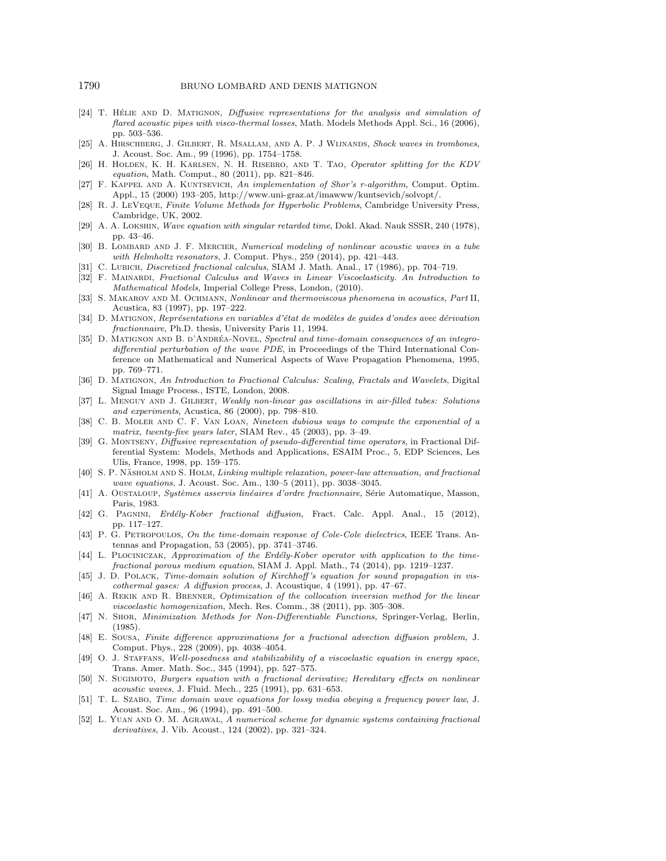- <span id="page-26-9"></span>[24] T. HELIE AND D. MATIGNON, Diffusive representations for the analysis and simulation of flared acoustic pipes with visco-thermal losses, Math. Models Methods Appl. Sci., 16 (2006), pp. 503–536.
- <span id="page-26-3"></span>[25] A. Hirschberg, J. Gilbert, R. Msallam, and A. P. J Wijnands, Shock waves in trombones, J. Acoust. Soc. Am., 99 (1996), pp. 1754–1758.
- <span id="page-26-20"></span>[26] H. HOLDEN, K. H. KARLSEN, N. H. RISEBRO, AND T. TAO, Operator splitting for the KDV equation, Math. Comput., 80 (2011), pp. 821–846.
- <span id="page-26-22"></span>[27] F. Kappel and A. Kuntsevich, An implementation of Shor's r-algorithm, Comput. Optim. Appl., 15 (2000) 193–205, [http://www.uni-graz.at/imawww/kuntsevich/solvopt/.](http://www.uni-graz.at/imawww/kuntsevich/solvopt/)
- <span id="page-26-14"></span>[28] R. J. LeVeque, Finite Volume Methods for Hyperbolic Problems, Cambridge University Press, Cambridge, UK, 2002.
- <span id="page-26-5"></span>[29] A. A. Lokshin, Wave equation with singular retarded time, Dokl. Akad. Nauk SSSR, 240 (1978), pp. 43–46.
- <span id="page-26-19"></span>[30] B. LOMBARD AND J. F. MERCIER, Numerical modeling of nonlinear acoustic waves in a tube with Helmholtz resonators, J. Comput. Phys., 259 (2014), pp. 421–443.
- <span id="page-26-15"></span>[31] C. Lubich, Discretized fractional calculus, SIAM J. Math. Anal., 17 (1986), pp. 704–719.
- <span id="page-26-11"></span>[32] F. Mainardi, Fractional Calculus and Waves in Linear Viscoelasticity. An Introduction to Mathematical Models, Imperial College Press, London, (2010).
- <span id="page-26-13"></span>[33] S. MAKAROV AND M. OCHMANN, *Nonlinear and thermoviscous phenomena in acoustics, Part II*, Acustica, 83 (1997), pp. 197–222.
- <span id="page-26-7"></span>[34] D. MATIGNON, Représentations en variables d'état de modèles de guides d'ondes avec dérivation fractionnaire, Ph.D. thesis, University Paris 11, 1994.
- <span id="page-26-8"></span>[35] D. MATIGNON AND B. D'ANDRÉA-NOVEL, Spectral and time-domain consequences of an integrodifferential perturbation of the wave PDE, in Proceedings of the Third International Conference on Mathematical and Numerical Aspects of Wave Propagation Phenomena, 1995, pp. 769–771.
- <span id="page-26-0"></span>[36] D. MATIGNON, An Introduction to Fractional Calculus: Scaling, Fractals and Wavelets, Digital Signal Image Process., ISTE, London, 2008.
- <span id="page-26-4"></span>[37] L. Menguy and J. Gilbert, Weakly non-linear gas oscillations in air-filled tubes: Solutions and experiments, Acustica, 86 (2000), pp. 798–810.
- <span id="page-26-21"></span>[38] C. B. MOLER AND C. F. VAN LOAN, Nineteen dubious ways to compute the exponential of a matrix, twenty-five years later, SIAM Rev., 45 (2003), pp. 3–49.
- <span id="page-26-17"></span>[39] G. Montseny, Diffusive representation of pseudo-differential time operators, in Fractional Differential System: Models, Methods and Applications, ESAIM Proc., 5, EDP Sciences, Les Ulis, France, 1998, pp. 159–175.
- <span id="page-26-12"></span>[40] S. P. NÄSHOLM AND S. HOLM, Linking multiple relaxation, power-law attenuation, and fractional wave equations, J. Acoust. Soc. Am., 130–5 (2011), pp. 3038–3045.
- [41] A. Oustaloup, Systèmes asservis linéaires d'ordre fractionnaire, Série Automatique, Masson, Paris, 1983.
- <span id="page-26-26"></span>[42] G. PAGNINI, Erdély-Kober fractional diffusion, Fract. Calc. Appl. Anal., 15 (2012), pp. 117–127.
- <span id="page-26-25"></span>[43] P. G. PETROPOULOS, On the time-domain response of Cole-Cole dielectrics, IEEE Trans. Antennas and Propagation, 53 (2005), pp. 3741–3746.
- <span id="page-26-27"></span>[44] L. PLOCINICZAK, Approximation of the Erdély-Kober operator with application to the timefractional porous medium equation, SIAM J. Appl. Math., 74 (2014), pp. 1219–1237.
- <span id="page-26-6"></span>[45] J. D. Polack, Time-domain solution of Kirchhoff 's equation for sound propagation in viscothermal gases: A diffusion process, J. Acoustique, 4 (1991), pp. 47–67.
- <span id="page-26-24"></span>[46] A. REKIK AND R. BRENNER, Optimization of the collocation inversion method for the linear viscoelastic homogenization, Mech. Res. Comm., 38 (2011), pp. 305–308.
- <span id="page-26-23"></span>[47] N. Shor, Minimization Methods for Non-Differentiable Functions, Springer-Verlag, Berlin, (1985).
- <span id="page-26-1"></span>[48] E. Sousa, Finite difference approximations for a fractional advection diffusion problem, J. Comput. Phys., 228 (2009), pp. 4038–4054.
- <span id="page-26-16"></span>[49] O. J. STAFFANS, Well-posedness and stabilizability of a viscoelastic equation in energy space, Trans. Amer. Math. Soc., 345 (1994), pp. 527–575.
- <span id="page-26-2"></span>[50] N. Sugimoto, Burgers equation with a fractional derivative; Hereditary effects on nonlinear acoustic waves, J. Fluid. Mech., 225 (1991), pp. 631–653.
- <span id="page-26-10"></span>[51] T. L. Szabo, Time domain wave equations for lossy media obeying a frequency power law, J. Acoust. Soc. Am., 96 (1994), pp. 491–500.
- <span id="page-26-18"></span>[52] L. Yuan and O. M. Agrawal, A numerical scheme for dynamic systems containing fractional derivatives, J. Vib. Acoust., 124 (2002), pp. 321–324.